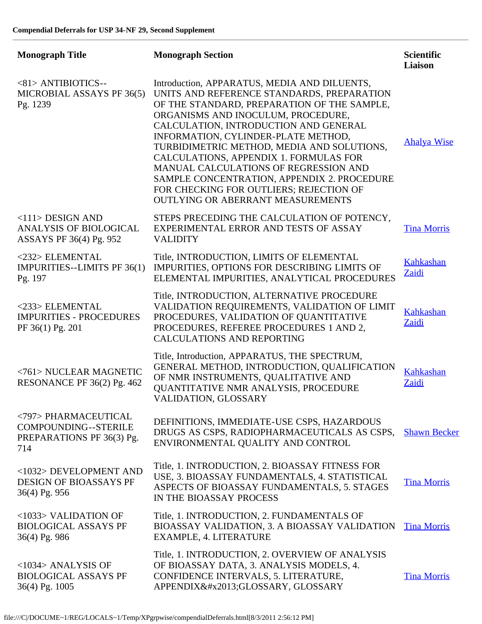| <b>Monograph Title</b>                                                           | <b>Monograph Section</b>                                                                                                                                                                                                                                                                                                                                                                                                                                                                                                               | <b>Scientific</b><br><b>Liaison</b> |
|----------------------------------------------------------------------------------|----------------------------------------------------------------------------------------------------------------------------------------------------------------------------------------------------------------------------------------------------------------------------------------------------------------------------------------------------------------------------------------------------------------------------------------------------------------------------------------------------------------------------------------|-------------------------------------|
| <81> ANTIBIOTICS--<br>MICROBIAL ASSAYS PF 36(5)<br>Pg. 1239                      | Introduction, APPARATUS, MEDIA AND DILUENTS,<br>UNITS AND REFERENCE STANDARDS, PREPARATION<br>OF THE STANDARD, PREPARATION OF THE SAMPLE,<br>ORGANISMS AND INOCULUM, PROCEDURE,<br>CALCULATION, INTRODUCTION AND GENERAL<br>INFORMATION, CYLINDER-PLATE METHOD,<br>TURBIDIMETRIC METHOD, MEDIA AND SOLUTIONS,<br>CALCULATIONS, APPENDIX 1. FORMULAS FOR<br>MANUAL CALCULATIONS OF REGRESSION AND<br>SAMPLE CONCENTRATION, APPENDIX 2. PROCEDURE<br>FOR CHECKING FOR OUTLIERS; REJECTION OF<br><b>OUTLYING OR ABERRANT MEASUREMENTS</b> | <b>Ahalya Wise</b>                  |
| $<$ 111> DESIGN AND<br><b>ANALYSIS OF BIOLOGICAL</b><br>ASSAYS PF 36(4) Pg. 952  | STEPS PRECEDING THE CALCULATION OF POTENCY,<br>EXPERIMENTAL ERROR AND TESTS OF ASSAY<br><b>VALIDITY</b>                                                                                                                                                                                                                                                                                                                                                                                                                                | <b>Tina Morris</b>                  |
| <232> ELEMENTAL<br>IMPURITIES--LIMITS PF 36(1)<br>Pg. 197                        | Title, INTRODUCTION, LIMITS OF ELEMENTAL<br>IMPURITIES, OPTIONS FOR DESCRIBING LIMITS OF<br>ELEMENTAL IMPURITIES, ANALYTICAL PROCEDURES                                                                                                                                                                                                                                                                                                                                                                                                | Kahkashan<br>Zaidi                  |
| <233> ELEMENTAL<br><b>IMPURITIES - PROCEDURES</b><br>PF 36(1) Pg. 201            | Title, INTRODUCTION, ALTERNATIVE PROCEDURE<br>VALIDATION REQUIREMENTS, VALIDATION OF LIMIT<br>PROCEDURES, VALIDATION OF QUANTITATIVE<br>PROCEDURES, REFEREE PROCEDURES 1 AND 2,<br><b>CALCULATIONS AND REPORTING</b>                                                                                                                                                                                                                                                                                                                   | Kahkashan<br>Zaidi                  |
| <761> NUCLEAR MAGNETIC<br>RESONANCE PF 36(2) Pg. 462                             | Title, Introduction, APPARATUS, THE SPECTRUM,<br>GENERAL METHOD, INTRODUCTION, QUALIFICATION<br>OF NMR INSTRUMENTS, QUALITATIVE AND<br>QUANTITATIVE NMR ANALYSIS, PROCEDURE<br>VALIDATION, GLOSSARY                                                                                                                                                                                                                                                                                                                                    | <b>Kahkashan</b><br>Zaidi           |
| <797> PHARMACEUTICAL<br>COMPOUNDING--STERILE<br>PREPARATIONS PF 36(3) Pg.<br>714 | DEFINITIONS, IMMEDIATE-USE CSPS, HAZARDOUS<br>DRUGS AS CSPS, RADIOPHARMACEUTICALS AS CSPS,<br>ENVIRONMENTAL QUALITY AND CONTROL                                                                                                                                                                                                                                                                                                                                                                                                        | <b>Shawn Becker</b>                 |
| <1032> DEVELOPMENT AND<br>DESIGN OF BIOASSAYS PF<br>36(4) Pg. 956                | Title, 1. INTRODUCTION, 2. BIOASSAY FITNESS FOR<br>USE, 3. BIOASSAY FUNDAMENTALS, 4. STATISTICAL<br>ASPECTS OF BIOASSAY FUNDAMENTALS, 5. STAGES<br>IN THE BIOASSAY PROCESS                                                                                                                                                                                                                                                                                                                                                             | <b>Tina Morris</b>                  |
| <1033> VALIDATION OF<br><b>BIOLOGICAL ASSAYS PF</b><br>36(4) Pg. 986             | Title, 1. INTRODUCTION, 2. FUNDAMENTALS OF<br>BIOASSAY VALIDATION, 3. A BIOASSAY VALIDATION<br>EXAMPLE, 4. LITERATURE                                                                                                                                                                                                                                                                                                                                                                                                                  | <b>Tina Morris</b>                  |
| $<$ 1034 $>$ ANALYSIS OF<br><b>BIOLOGICAL ASSAYS PF</b><br>36(4) Pg. 1005        | Title, 1. INTRODUCTION, 2. OVERVIEW OF ANALYSIS<br>OF BIOASSAY DATA, 3. ANALYSIS MODELS, 4.<br>CONFIDENCE INTERVALS, 5. LITERATURE,<br>APPENDIX–GLOSSARY, GLOSSARY                                                                                                                                                                                                                                                                                                                                                                     | <b>Tina Morris</b>                  |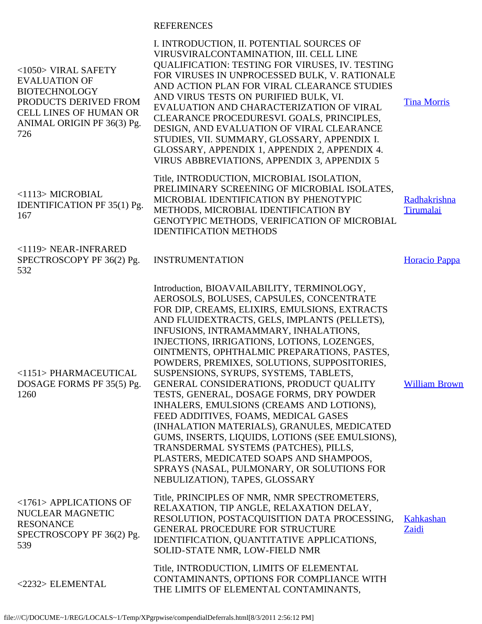## REFERENCES

| $<$ 1050 $>$ VIRAL SAFETY<br><b>EVALUATION OF</b><br><b>BIOTECHNOLOGY</b><br>PRODUCTS DERIVED FROM<br><b>CELL LINES OF HUMAN OR</b><br>ANIMAL ORIGIN PF 36(3) Pg.<br>726 | I. INTRODUCTION, II. POTENTIAL SOURCES OF<br>VIRUSVIRALCONTAMINATION, III. CELL LINE<br><b>QUALIFICATION: TESTING FOR VIRUSES, IV. TESTING</b><br>FOR VIRUSES IN UNPROCESSED BULK, V. RATIONALE<br>AND ACTION PLAN FOR VIRAL CLEARANCE STUDIES<br>AND VIRUS TESTS ON PURIFIED BULK, VI.<br>EVALUATION AND CHARACTERIZATION OF VIRAL<br>CLEARANCE PROCEDURESVI. GOALS, PRINCIPLES,<br>DESIGN, AND EVALUATION OF VIRAL CLEARANCE<br>STUDIES, VII. SUMMARY, GLOSSARY, APPENDIX I.<br>GLOSSARY, APPENDIX 1, APPENDIX 2, APPENDIX 4.<br>VIRUS ABBREVIATIONS, APPENDIX 3, APPENDIX 5                                                                                                                                                                                                                                                                                               | <b>Tina Morris</b>        |
|--------------------------------------------------------------------------------------------------------------------------------------------------------------------------|------------------------------------------------------------------------------------------------------------------------------------------------------------------------------------------------------------------------------------------------------------------------------------------------------------------------------------------------------------------------------------------------------------------------------------------------------------------------------------------------------------------------------------------------------------------------------------------------------------------------------------------------------------------------------------------------------------------------------------------------------------------------------------------------------------------------------------------------------------------------------|---------------------------|
| <1113> MICROBIAL<br><b>IDENTIFICATION PF 35(1) Pg.</b><br>167                                                                                                            | Title, INTRODUCTION, MICROBIAL ISOLATION,<br>PRELIMINARY SCREENING OF MICROBIAL ISOLATES,<br>MICROBIAL IDENTIFICATION BY PHENOTYPIC<br>METHODS, MICROBIAL IDENTIFICATION BY<br>GENOTYPIC METHODS, VERIFICATION OF MICROBIAL<br><b>IDENTIFICATION METHODS</b>                                                                                                                                                                                                                                                                                                                                                                                                                                                                                                                                                                                                                 | Radhakrishna<br>Tirumalai |
| <1119> NEAR-INFRARED<br>SPECTROSCOPY PF 36(2) Pg.<br>532                                                                                                                 | <b>INSTRUMENTATION</b>                                                                                                                                                                                                                                                                                                                                                                                                                                                                                                                                                                                                                                                                                                                                                                                                                                                       | Horacio Pappa             |
| <1151> PHARMACEUTICAL<br>DOSAGE FORMS PF 35(5) Pg.<br>1260                                                                                                               | Introduction, BIOAVAILABILITY, TERMINOLOGY,<br>AEROSOLS, BOLUSES, CAPSULES, CONCENTRATE<br>FOR DIP, CREAMS, ELIXIRS, EMULSIONS, EXTRACTS<br>AND FLUIDEXTRACTS, GELS, IMPLANTS (PELLETS),<br>INFUSIONS, INTRAMAMMARY, INHALATIONS,<br>INJECTIONS, IRRIGATIONS, LOTIONS, LOZENGES,<br>OINTMENTS, OPHTHALMIC PREPARATIONS, PASTES,<br>POWDERS, PREMIXES, SOLUTIONS, SUPPOSITORIES,<br>SUSPENSIONS, SYRUPS, SYSTEMS, TABLETS,<br>GENERAL CONSIDERATIONS, PRODUCT QUALITY<br>TESTS, GENERAL, DOSAGE FORMS, DRY POWDER<br>INHALERS, EMULSIONS (CREAMS AND LOTIONS),<br>FEED ADDITIVES, FOAMS, MEDICAL GASES<br>(INHALATION MATERIALS), GRANULES, MEDICATED<br>GUMS, INSERTS, LIQUIDS, LOTIONS (SEE EMULSIONS),<br>TRANSDERMAL SYSTEMS (PATCHES), PILLS,<br>PLASTERS, MEDICATED SOAPS AND SHAMPOOS,<br>SPRAYS (NASAL, PULMONARY, OR SOLUTIONS FOR<br>NEBULIZATION), TAPES, GLOSSARY | <b>William Brown</b>      |
| <1761> APPLICATIONS OF<br>NUCLEAR MAGNETIC<br><b>RESONANCE</b><br>SPECTROSCOPY PF 36(2) Pg.<br>539                                                                       | Title, PRINCIPLES OF NMR, NMR SPECTROMETERS,<br>RELAXATION, TIP ANGLE, RELAXATION DELAY,<br>RESOLUTION, POSTACQUISITION DATA PROCESSING,<br>GENERAL PROCEDURE FOR STRUCTURE<br>IDENTIFICATION, QUANTITATIVE APPLICATIONS,<br>SOLID-STATE NMR, LOW-FIELD NMR                                                                                                                                                                                                                                                                                                                                                                                                                                                                                                                                                                                                                  | Kahkashan<br>Zaidi        |
| <2232> ELEMENTAL                                                                                                                                                         | Title, INTRODUCTION, LIMITS OF ELEMENTAL<br>CONTAMINANTS, OPTIONS FOR COMPLIANCE WITH<br>THE LIMITS OF ELEMENTAL CONTAMINANTS,                                                                                                                                                                                                                                                                                                                                                                                                                                                                                                                                                                                                                                                                                                                                               |                           |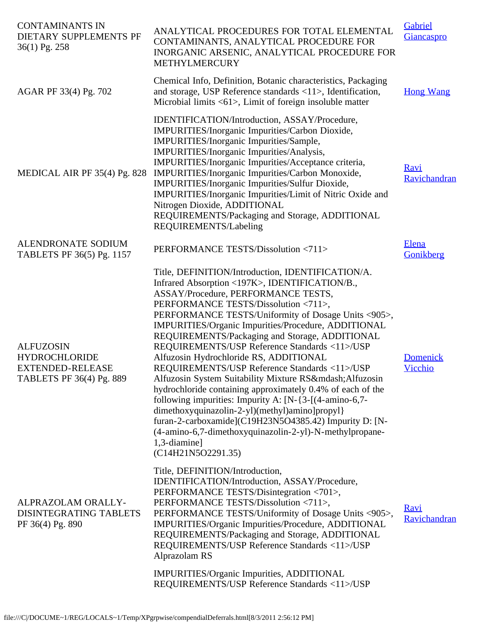| <b>CONTAMINANTS IN</b><br>DIETARY SUPPLEMENTS PF<br>36(1) Pg. 258                               | ANALYTICAL PROCEDURES FOR TOTAL ELEMENTAL<br>CONTAMINANTS, ANALYTICAL PROCEDURE FOR<br>INORGANIC ARSENIC, ANALYTICAL PROCEDURE FOR<br>METHYLMERCURY                                                                                                                                                                                                                                                                                                                                                                                                                                                                                                                                                                                                                                                                                                                                                  | Gabriel<br>Giancaspro       |
|-------------------------------------------------------------------------------------------------|------------------------------------------------------------------------------------------------------------------------------------------------------------------------------------------------------------------------------------------------------------------------------------------------------------------------------------------------------------------------------------------------------------------------------------------------------------------------------------------------------------------------------------------------------------------------------------------------------------------------------------------------------------------------------------------------------------------------------------------------------------------------------------------------------------------------------------------------------------------------------------------------------|-----------------------------|
| AGAR PF 33(4) Pg. 702                                                                           | Chemical Info, Definition, Botanic characteristics, Packaging<br>and storage, USP Reference standards <11>, Identification,<br>Microbial limits $\langle 61 \rangle$ , Limit of foreign insoluble matter                                                                                                                                                                                                                                                                                                                                                                                                                                                                                                                                                                                                                                                                                             | <b>Hong Wang</b>            |
| MEDICAL AIR PF 35(4) Pg. 828                                                                    | IDENTIFICATION/Introduction, ASSAY/Procedure,<br>IMPURITIES/Inorganic Impurities/Carbon Dioxide,<br>IMPURITIES/Inorganic Impurities/Sample,<br>IMPURITIES/Inorganic Impurities/Analysis,<br>IMPURITIES/Inorganic Impurities/Acceptance criteria,<br>IMPURITIES/Inorganic Impurities/Carbon Monoxide,<br>IMPURITIES/Inorganic Impurities/Sulfur Dioxide,<br>IMPURITIES/Inorganic Impurities/Limit of Nitric Oxide and<br>Nitrogen Dioxide, ADDITIONAL<br>REQUIREMENTS/Packaging and Storage, ADDITIONAL<br>REQUIREMENTS/Labeling                                                                                                                                                                                                                                                                                                                                                                      | <b>Ravi</b><br>Ravichandran |
| ALENDRONATE SODIUM<br>TABLETS PF 36(5) Pg. 1157                                                 | PERFORMANCE TESTS/Dissolution <711>                                                                                                                                                                                                                                                                                                                                                                                                                                                                                                                                                                                                                                                                                                                                                                                                                                                                  | <b>Elena</b><br>Gonikberg   |
| <b>ALFUZOSIN</b><br><b>HYDROCHLORIDE</b><br><b>EXTENDED-RELEASE</b><br>TABLETS PF 36(4) Pg. 889 | Title, DEFINITION/Introduction, IDENTIFICATION/A.<br>Infrared Absorption <197K>, IDENTIFICATION/B.,<br>ASSAY/Procedure, PERFORMANCE TESTS,<br>PERFORMANCE TESTS/Dissolution <711>,<br>PERFORMANCE TESTS/Uniformity of Dosage Units <905>,<br>IMPURITIES/Organic Impurities/Procedure, ADDITIONAL<br>REQUIREMENTS/Packaging and Storage, ADDITIONAL<br>REQUIREMENTS/USP Reference Standards <11>/USP<br>Alfuzosin Hydrochloride RS, ADDITIONAL<br>REQUIREMENTS/USP Reference Standards <11>/USP<br>Alfuzosin System Suitability Mixture RS— Alfuzosin<br>hydrochloride containing approximately 0.4% of each of the<br>following impurities: Impurity A: $[N-\{3-[4\text{-amino-6,7-8\}$<br>dimethoxyquinazolin-2-yl)(methyl)amino]propyl}<br>furan-2-carboxamide](C19H23N5O4385.42) Impurity D: [N-<br>(4-amino-6,7-dimethoxyquinazolin-2-yl)-N-methylpropane-<br>1,3-diamine]<br>(C14H21N5O2291.35) | <b>Domenick</b><br>Vicchio  |
| ALPRAZOLAM ORALLY-<br>DISINTEGRATING TABLETS<br>PF 36(4) Pg. 890                                | Title, DEFINITION/Introduction,<br>IDENTIFICATION/Introduction, ASSAY/Procedure,<br>PERFORMANCE TESTS/Disintegration <701>,<br>PERFORMANCE TESTS/Dissolution <711>,<br>PERFORMANCE TESTS/Uniformity of Dosage Units <905>,<br>IMPURITIES/Organic Impurities/Procedure, ADDITIONAL<br>REQUIREMENTS/Packaging and Storage, ADDITIONAL<br>REQUIREMENTS/USP Reference Standards <11>/USP<br>Alprazolam RS                                                                                                                                                                                                                                                                                                                                                                                                                                                                                                | <b>Ravi</b><br>Ravichandran |
|                                                                                                 | IMPURITIES/Organic Impurities, ADDITIONAL<br>REQUIREMENTS/USP Reference Standards <11>/USP                                                                                                                                                                                                                                                                                                                                                                                                                                                                                                                                                                                                                                                                                                                                                                                                           |                             |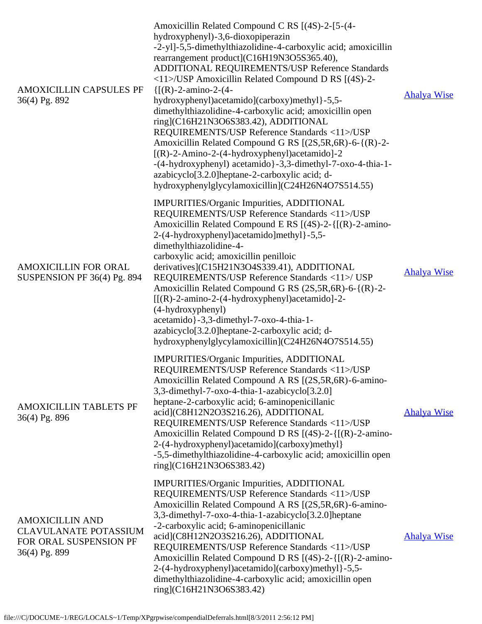| <b>AMOXICILLIN CAPSULES PF</b><br>36(4) Pg. 892                                                   | Amoxicillin Related Compound C RS [(4S)-2-[5-(4-<br>hydroxyphenyl)-3,6-dioxopiperazin<br>-2-yl]-5,5-dimethylthiazolidine-4-carboxylic acid; amoxicillin<br>rearrangement product](C16H19N3O5S365.40),<br>ADDITIONAL REQUIREMENTS/USP Reference Standards<br>$\langle 11 \rangle$ /USP Amoxicillin Related Compound D RS [(4S)-2-<br>$\{[(R)-2-amin-2-(4-$<br>hydroxyphenyl)acetamido](carboxy)methyl}-5,5-<br>dimethylthiazolidine-4-carboxylic acid; amoxicillin open<br>ring](C16H21N3O6S383.42), ADDITIONAL<br>REQUIREMENTS/USP Reference Standards <11>/USP<br>Amoxicillin Related Compound G RS [(2S,5R,6R)-6-{(R)-2-<br>$[(R)-2-Amino-2-(4-hydroxyphenyl)acetamido]-2$<br>-(4-hydroxyphenyl) acetamido }-3,3-dimethyl-7-oxo-4-thia-1-<br>azabicyclo <sup>[3.2.0]</sup> heptane-2-carboxylic acid; d-<br>hydroxyphenylglycylamoxicillin](C24H26N4O7S514.55) | <b>Ahalya Wise</b> |
|---------------------------------------------------------------------------------------------------|------------------------------------------------------------------------------------------------------------------------------------------------------------------------------------------------------------------------------------------------------------------------------------------------------------------------------------------------------------------------------------------------------------------------------------------------------------------------------------------------------------------------------------------------------------------------------------------------------------------------------------------------------------------------------------------------------------------------------------------------------------------------------------------------------------------------------------------------------------------|--------------------|
| AMOXICILLIN FOR ORAL<br>SUSPENSION PF 36(4) Pg. 894                                               | IMPURITIES/Organic Impurities, ADDITIONAL<br>REQUIREMENTS/USP Reference Standards <11>/USP<br>Amoxicillin Related Compound E RS $[(4S)-2-([(R)-2-amin-1)]$<br>2-(4-hydroxyphenyl)acetamido]methyl}-5,5-<br>dimethylthiazolidine-4-<br>carboxylic acid; amoxicillin penilloic<br>derivatives](C15H21N3O4S339.41), ADDITIONAL<br>REQUIREMENTS/USP Reference Standards <11>/ USP<br>Amoxicillin Related Compound G RS (2S, 5R, 6R)-6-{(R)-2-<br>$[[(R)-2-amino-2-(4-hydroxyphenyl)]$ acetamido]-2-<br>(4-hydroxyphenyl)<br>acetamido}-3,3-dimethyl-7-oxo-4-thia-1-<br>azabicyclo <sup>[3.2.0]</sup> heptane-2-carboxylic acid; d-<br>hydroxyphenylglycylamoxicillin](C24H26N4O7S514.55)                                                                                                                                                                             | <b>Ahalya Wise</b> |
| AMOXICILLIN TABLETS PF<br>36(4) Pg. 896                                                           | IMPURITIES/Organic Impurities, ADDITIONAL<br>REQUIREMENTS/USP Reference Standards <11>/USP<br>Amoxicillin Related Compound A RS [(2S,5R,6R)-6-amino-<br>3,3-dimethyl-7-oxo-4-thia-1-azabicyclo[3.2.0]<br>heptane-2-carboxylic acid; 6-aminopenicillanic<br>acid](C8H12N2O3S216.26), ADDITIONAL<br>REQUIREMENTS/USP Reference Standards <11>/USP<br>Amoxicillin Related Compound D RS [(4S)-2-{[(R)-2-amino-<br>2-(4-hydroxyphenyl)acetamido](carboxy)methyl}<br>-5,5-dimethylthiazolidine-4-carboxylic acid; amoxicillin open<br>ring](C16H21N3O6S383.42)                                                                                                                                                                                                                                                                                                        | <b>Ahalya Wise</b> |
| <b>AMOXICILLIN AND</b><br><b>CLAVULANATE POTASSIUM</b><br>FOR ORAL SUSPENSION PF<br>36(4) Pg. 899 | IMPURITIES/Organic Impurities, ADDITIONAL<br>REQUIREMENTS/USP Reference Standards <11>/USP<br>Amoxicillin Related Compound A RS [(2S,5R,6R)-6-amino-<br>3,3-dimethyl-7-oxo-4-thia-1-azabicyclo[3.2.0]heptane<br>-2-carboxylic acid; 6-aminopenicillanic<br>acid](C8H12N2O3S216.26), ADDITIONAL<br>REQUIREMENTS/USP Reference Standards <11>/USP<br>Amoxicillin Related Compound D RS $[(4S)-2-([(R)-2-amin-1)]$<br>2-(4-hydroxyphenyl)acetamido](carboxy)methyl}-5,5-<br>dimethylthiazolidine-4-carboxylic acid; amoxicillin open<br>ring](C16H21N3O6S383.42)                                                                                                                                                                                                                                                                                                    | <b>Ahalya Wise</b> |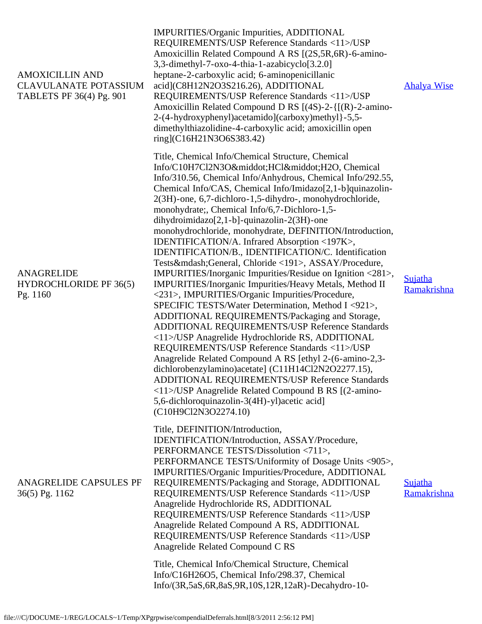| <b>AMOXICILLIN AND</b><br><b>CLAVULANATE POTASSIUM</b><br>TABLETS PF 36(4) Pg. 901 | IMPURITIES/Organic Impurities, ADDITIONAL<br>REQUIREMENTS/USP Reference Standards <11>/USP<br>Amoxicillin Related Compound A RS [(2S,5R,6R)-6-amino-<br>3,3-dimethyl-7-oxo-4-thia-1-azabicyclo[3.2.0]<br>heptane-2-carboxylic acid; 6-aminopenicillanic<br>acid](C8H12N2O3S216.26), ADDITIONAL<br>REQUIREMENTS/USP Reference Standards <11>/USP<br>Amoxicillin Related Compound D RS $[(4S)-2-([(R)-2-amin-1)]$<br>2-(4-hydroxyphenyl)acetamido](carboxy)methyl}-5,5-<br>dimethylthiazolidine-4-carboxylic acid; amoxicillin open<br>ring](C16H21N3O6S383.42)                                                                                                                                                                                                                                                                                                                                                                                                                                                                                                                                                                                                                                                                                                                                                                                            | <b>Ahalya Wise</b>     |
|------------------------------------------------------------------------------------|----------------------------------------------------------------------------------------------------------------------------------------------------------------------------------------------------------------------------------------------------------------------------------------------------------------------------------------------------------------------------------------------------------------------------------------------------------------------------------------------------------------------------------------------------------------------------------------------------------------------------------------------------------------------------------------------------------------------------------------------------------------------------------------------------------------------------------------------------------------------------------------------------------------------------------------------------------------------------------------------------------------------------------------------------------------------------------------------------------------------------------------------------------------------------------------------------------------------------------------------------------------------------------------------------------------------------------------------------------|------------------------|
| <b>ANAGRELIDE</b><br><b>HYDROCHLORIDE PF 36(5)</b><br>Pg. 1160                     | Title, Chemical Info/Chemical Structure, Chemical<br>Info/C10H7Cl2N3O·HCl·H2O, Chemical<br>Info/310.56, Chemical Info/Anhydrous, Chemical Info/292.55,<br>Chemical Info/CAS, Chemical Info/Imidazo[2,1-b]quinazolin-<br>2(3H)-one, 6,7-dichloro-1,5-dihydro-, monohydrochloride,<br>monohydrate; Chemical Info/6,7-Dichloro-1,5-<br>dihydroimidazo[2,1-b]-quinazolin-2(3H)-one<br>monohydrochloride, monohydrate, DEFINITION/Introduction,<br>IDENTIFICATION/A. Infrared Absorption <197K>,<br>IDENTIFICATION/B., IDENTIFICATION/C. Identification<br>Tests—General, Chloride <191>, ASSAY/Procedure,<br>IMPURITIES/Inorganic Impurities/Residue on Ignition <281>,<br>IMPURITIES/Inorganic Impurities/Heavy Metals, Method II<br><231>, IMPURITIES/Organic Impurities/Procedure,<br>SPECIFIC TESTS/Water Determination, Method I <921>,<br>ADDITIONAL REQUIREMENTS/Packaging and Storage,<br>ADDITIONAL REQUIREMENTS/USP Reference Standards<br><11>/USP Anagrelide Hydrochloride RS, ADDITIONAL<br>REQUIREMENTS/USP Reference Standards <11>/USP<br>Anagrelide Related Compound A RS [ethyl 2-(6-amino-2,3-<br>dichlorobenzylamino) acetate] (C11H14Cl2N2O2277.15),<br>ADDITIONAL REQUIREMENTS/USP Reference Standards<br><11>/USP Anagrelide Related Compound B RS [(2-amino-<br>5,6-dichloroquinazolin-3(4H)-yl)acetic acid]<br>(C10H9Cl2N3O2274.10) | Sujatha<br>Ramakrishna |
| ANAGRELIDE CAPSULES PF<br>36(5) Pg. 1162                                           | Title, DEFINITION/Introduction,<br>IDENTIFICATION/Introduction, ASSAY/Procedure,<br>PERFORMANCE TESTS/Dissolution <711>,<br>PERFORMANCE TESTS/Uniformity of Dosage Units <905>,<br>IMPURITIES/Organic Impurities/Procedure, ADDITIONAL<br>REQUIREMENTS/Packaging and Storage, ADDITIONAL<br>REQUIREMENTS/USP Reference Standards <11>/USP<br>Anagrelide Hydrochloride RS, ADDITIONAL<br>REQUIREMENTS/USP Reference Standards <11>/USP<br>Anagrelide Related Compound A RS, ADDITIONAL<br>REQUIREMENTS/USP Reference Standards <11>/USP<br>Anagrelide Related Compound C RS<br>Title, Chemical Info/Chemical Structure, Chemical<br>Info/C16H26O5, Chemical Info/298.37, Chemical<br>Info/(3R,5aS,6R,8aS,9R,10S,12R,12aR)-Decahydro-10-                                                                                                                                                                                                                                                                                                                                                                                                                                                                                                                                                                                                                   | Sujatha<br>Ramakrishna |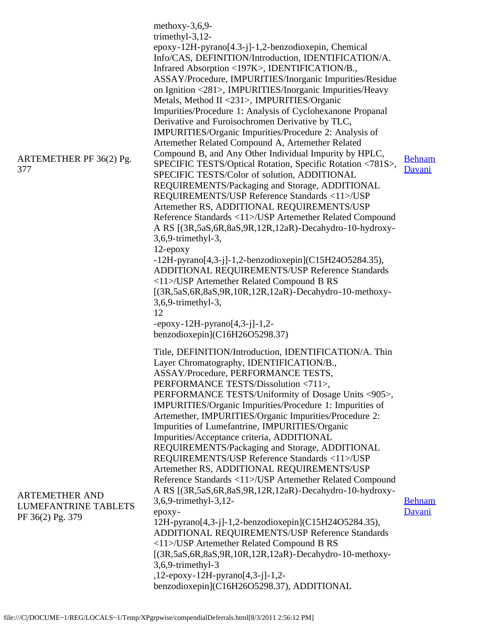| ARTEMETHER PF 36(2) Pg.<br>377                                    | methoxy- $3,6,9$ -<br>trimethyl- $3,12$ -<br>epoxy-12H-pyrano[4.3-j]-1,2-benzodioxepin, Chemical<br>Info/CAS, DEFINITION/Introduction, IDENTIFICATION/A.<br>Infrared Absorption <197K>, IDENTIFICATION/B.,<br>ASSAY/Procedure, IMPURITIES/Inorganic Impurities/Residue<br>on Ignition <281>, IMPURITIES/Inorganic Impurities/Heavy<br>Metals, Method II <231>, IMPURITIES/Organic<br>Impurities/Procedure 1: Analysis of Cyclohexanone Propanal<br>Derivative and Furoisochromen Derivative by TLC,<br>IMPURITIES/Organic Impurities/Procedure 2: Analysis of<br>Artemether Related Compound A, Artemether Related<br>Compound B, and Any Other Individual Impurity by HPLC,<br>SPECIFIC TESTS/Optical Rotation, Specific Rotation <781S>,<br>SPECIFIC TESTS/Color of solution, ADDITIONAL<br>REQUIREMENTS/Packaging and Storage, ADDITIONAL<br>REQUIREMENTS/USP Reference Standards <11>/USP<br>Artemether RS, ADDITIONAL REQUIREMENTS/USP<br>Reference Standards <11>/USP Artemether Related Compound<br>A RS [(3R,5aS,6R,8aS,9R,12R,12aR)-Decahydro-10-hydroxy-<br>3,6,9-trimethyl-3,<br>$12$ -epoxy<br>$-12H$ -pyrano $[4,3$ -j]-1,2-benzodioxepin](C15H24O5284.35),<br>ADDITIONAL REQUIREMENTS/USP Reference Standards<br><11>/USP Artemether Related Compound B RS<br>$[(3R, 5aS, 6R, 8aS, 9R, 10R, 12R, 12aR)$ -Decahydro-10-methoxy-<br>$3,6,9$ -trimethyl-3,<br>12<br>$-epoxy-12H-pyrano[4,3-j]-1,2-$ | <b>Behnam</b><br>Davani |
|-------------------------------------------------------------------|----------------------------------------------------------------------------------------------------------------------------------------------------------------------------------------------------------------------------------------------------------------------------------------------------------------------------------------------------------------------------------------------------------------------------------------------------------------------------------------------------------------------------------------------------------------------------------------------------------------------------------------------------------------------------------------------------------------------------------------------------------------------------------------------------------------------------------------------------------------------------------------------------------------------------------------------------------------------------------------------------------------------------------------------------------------------------------------------------------------------------------------------------------------------------------------------------------------------------------------------------------------------------------------------------------------------------------------------------------------------------------------------------------------|-------------------------|
| <b>ARTEMETHER AND</b><br>LUMEFANTRINE TABLETS<br>PF 36(2) Pg. 379 | benzodioxepin](C16H26O5298.37)<br>Title, DEFINITION/Introduction, IDENTIFICATION/A. Thin<br>Layer Chromatography, IDENTIFICATION/B.,<br>ASSAY/Procedure, PERFORMANCE TESTS,<br>PERFORMANCE TESTS/Dissolution <711>,<br>PERFORMANCE TESTS/Uniformity of Dosage Units <905>,<br>IMPURITIES/Organic Impurities/Procedure 1: Impurities of<br>Artemether, IMPURITIES/Organic Impurities/Procedure 2:<br>Impurities of Lumefantrine, IMPURITIES/Organic<br>Impurities/Acceptance criteria, ADDITIONAL<br>REQUIREMENTS/Packaging and Storage, ADDITIONAL<br>REQUIREMENTS/USP Reference Standards <11>/USP<br>Artemether RS, ADDITIONAL REQUIREMENTS/USP<br>Reference Standards <11>/USP Artemether Related Compound<br>A RS [(3R,5aS,6R,8aS,9R,12R,12aR)-Decahydro-10-hydroxy-<br>3,6,9-trimethyl-3,12-<br>epoxy-<br>12H-pyrano[4,3-j]-1,2-benzodioxepin](C15H24O5284.35),<br>ADDITIONAL REQUIREMENTS/USP Reference Standards<br><11>/USP Artemether Related Compound B RS<br>[(3R,5aS,6R,8aS,9R,10R,12R,12aR)-Decahydro-10-methoxy-<br>3,6,9-trimethyl-3<br>,12-epoxy-12H-pyrano[4,3-j]-1,2-<br>benzodioxepin](C16H26O5298.37), ADDITIONAL                                                                                                                                                                                                                                                                          | <b>Behnam</b><br>Davani |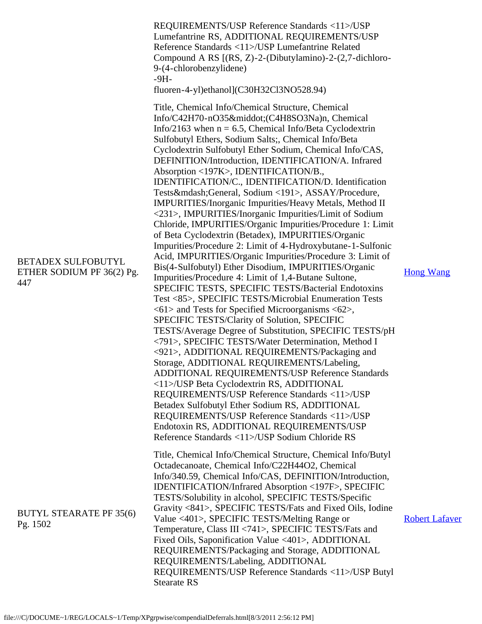|                                                               | REQUIREMENTS/USP Reference Standards <11>/USP<br>Lumefantrine RS, ADDITIONAL REQUIREMENTS/USP<br>Reference Standards <11>/USP Lumefantrine Related<br>Compound A RS [(RS, Z)-2-(Dibutylamino)-2-(2,7-dichloro-<br>9-(4-chlorobenzylidene)<br>$-9H-$<br>fluoren-4-yl)ethanol](C30H32Cl3NO528.94)                                                                                                                                                                                                                                                                                                                                                                                                                                                                                                                                                                                                                                                                                                                                                                                                                                                                                                                                                                                                                                                                                                                                                                                                                                                                                                                                                                                                                                                                                                       |                       |
|---------------------------------------------------------------|-------------------------------------------------------------------------------------------------------------------------------------------------------------------------------------------------------------------------------------------------------------------------------------------------------------------------------------------------------------------------------------------------------------------------------------------------------------------------------------------------------------------------------------------------------------------------------------------------------------------------------------------------------------------------------------------------------------------------------------------------------------------------------------------------------------------------------------------------------------------------------------------------------------------------------------------------------------------------------------------------------------------------------------------------------------------------------------------------------------------------------------------------------------------------------------------------------------------------------------------------------------------------------------------------------------------------------------------------------------------------------------------------------------------------------------------------------------------------------------------------------------------------------------------------------------------------------------------------------------------------------------------------------------------------------------------------------------------------------------------------------------------------------------------------------|-----------------------|
| <b>BETADEX SULFOBUTYL</b><br>ETHER SODIUM PF 36(2) Pg.<br>447 | Title, Chemical Info/Chemical Structure, Chemical<br>Info/C42H70-nO35·(C4H8SO3Na)n, Chemical<br>Info/2163 when $n = 6.5$ , Chemical Info/Beta Cyclodextrin<br>Sulfobutyl Ethers, Sodium Salts;, Chemical Info/Beta<br>Cyclodextrin Sulfobutyl Ether Sodium, Chemical Info/CAS,<br>DEFINITION/Introduction, IDENTIFICATION/A. Infrared<br>Absorption <197K>, IDENTIFICATION/B.,<br>IDENTIFICATION/C., IDENTIFICATION/D. Identification<br>Tests—General, Sodium <191>, ASSAY/Procedure,<br>IMPURITIES/Inorganic Impurities/Heavy Metals, Method II<br><231>, IMPURITIES/Inorganic Impurities/Limit of Sodium<br>Chloride, IMPURITIES/Organic Impurities/Procedure 1: Limit<br>of Beta Cyclodextrin (Betadex), IMPURITIES/Organic<br>Impurities/Procedure 2: Limit of 4-Hydroxybutane-1-Sulfonic<br>Acid, IMPURITIES/Organic Impurities/Procedure 3: Limit of<br>Bis(4-Sulfobutyl) Ether Disodium, IMPURITIES/Organic<br>Impurities/Procedure 4: Limit of 1,4-Butane Sultone,<br>SPECIFIC TESTS, SPECIFIC TESTS/Bacterial Endotoxins<br>Test <85>, SPECIFIC TESTS/Microbial Enumeration Tests<br>$\langle 61 \rangle$ and Tests for Specified Microorganisms $\langle 62 \rangle$ ,<br>SPECIFIC TESTS/Clarity of Solution, SPECIFIC<br>TESTS/Average Degree of Substitution, SPECIFIC TESTS/pH<br><791>, SPECIFIC TESTS/Water Determination, Method I<br><921>, ADDITIONAL REQUIREMENTS/Packaging and<br>Storage, ADDITIONAL REQUIREMENTS/Labeling,<br>ADDITIONAL REQUIREMENTS/USP Reference Standards<br><11>/USP Beta Cyclodextrin RS, ADDITIONAL<br>REQUIREMENTS/USP Reference Standards <11>/USP<br>Betadex Sulfobutyl Ether Sodium RS, ADDITIONAL<br>REQUIREMENTS/USP Reference Standards <11>/USP<br>Endotoxin RS, ADDITIONAL REQUIREMENTS/USP<br>Reference Standards <11>/USP Sodium Chloride RS | <b>Hong Wang</b>      |
| <b>BUTYL STEARATE PF 35(6)</b><br>Pg. 1502                    | Title, Chemical Info/Chemical Structure, Chemical Info/Butyl<br>Octadecanoate, Chemical Info/C22H44O2, Chemical<br>Info/340.59, Chemical Info/CAS, DEFINITION/Introduction,<br>IDENTIFICATION/Infrared Absorption <197F>, SPECIFIC<br>TESTS/Solubility in alcohol, SPECIFIC TESTS/Specific<br>Gravity <841>, SPECIFIC TESTS/Fats and Fixed Oils, Iodine<br>Value <401>, SPECIFIC TESTS/Melting Range or<br>Temperature, Class III <741>, SPECIFIC TESTS/Fats and<br>Fixed Oils, Saponification Value <401>, ADDITIONAL<br>REQUIREMENTS/Packaging and Storage, ADDITIONAL<br>REQUIREMENTS/Labeling, ADDITIONAL<br>REQUIREMENTS/USP Reference Standards <11>/USP Butyl<br><b>Stearate RS</b>                                                                                                                                                                                                                                                                                                                                                                                                                                                                                                                                                                                                                                                                                                                                                                                                                                                                                                                                                                                                                                                                                                            | <b>Robert Lafaver</b> |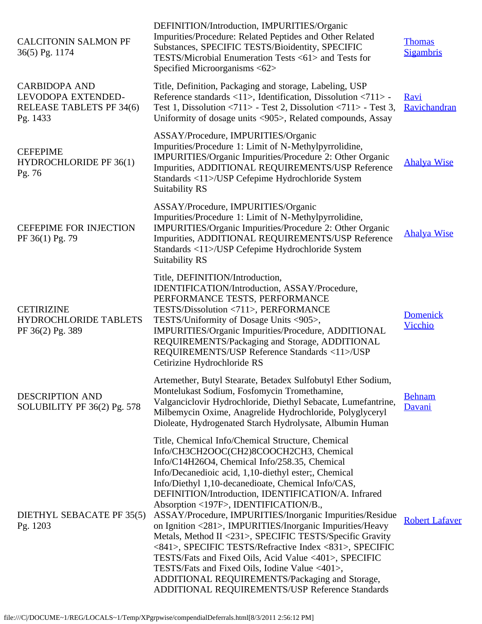| <b>CALCITONIN SALMON PF</b><br>36(5) Pg. 1174                                      | DEFINITION/Introduction, IMPURITIES/Organic<br>Impurities/Procedure: Related Peptides and Other Related<br>Substances, SPECIFIC TESTS/Bioidentity, SPECIFIC<br>TESTS/Microbial Enumeration Tests <61> and Tests for<br>Specified Microorganisms <62>                                                                                                                                                                                                                                                                                                                                                                                                                                                                                                                                                                      | <b>Thomas</b><br><b>Sigambris</b> |
|------------------------------------------------------------------------------------|---------------------------------------------------------------------------------------------------------------------------------------------------------------------------------------------------------------------------------------------------------------------------------------------------------------------------------------------------------------------------------------------------------------------------------------------------------------------------------------------------------------------------------------------------------------------------------------------------------------------------------------------------------------------------------------------------------------------------------------------------------------------------------------------------------------------------|-----------------------------------|
| <b>CARBIDOPA AND</b><br>LEVODOPA EXTENDED-<br>RELEASE TABLETS PF 34(6)<br>Pg. 1433 | Title, Definition, Packaging and storage, Labeling, USP<br>Reference standards <11>, Identification, Dissolution <711> -<br>Test 1, Dissolution <711> - Test 2, Dissolution <711> - Test 3,<br>Uniformity of dosage units <905>, Related compounds, Assay                                                                                                                                                                                                                                                                                                                                                                                                                                                                                                                                                                 | Ravi<br>Ravichandran              |
| <b>CEFEPIME</b><br>HYDROCHLORIDE PF 36(1)<br>Pg. 76                                | ASSAY/Procedure, IMPURITIES/Organic<br>Impurities/Procedure 1: Limit of N-Methylpyrrolidine,<br>IMPURITIES/Organic Impurities/Procedure 2: Other Organic<br>Impurities, ADDITIONAL REQUIREMENTS/USP Reference<br>Standards <11>/USP Cefepime Hydrochloride System<br>Suitability RS                                                                                                                                                                                                                                                                                                                                                                                                                                                                                                                                       | <b>Ahalya Wise</b>                |
| <b>CEFEPIME FOR INJECTION</b><br>PF 36(1) Pg. 79                                   | ASSAY/Procedure, IMPURITIES/Organic<br>Impurities/Procedure 1: Limit of N-Methylpyrrolidine,<br>IMPURITIES/Organic Impurities/Procedure 2: Other Organic<br>Impurities, ADDITIONAL REQUIREMENTS/USP Reference<br>Standards <11>/USP Cefepime Hydrochloride System<br>Suitability RS                                                                                                                                                                                                                                                                                                                                                                                                                                                                                                                                       | <b>Ahalya Wise</b>                |
| <b>CETIRIZINE</b><br><b>HYDROCHLORIDE TABLETS</b><br>PF 36(2) Pg. 389              | Title, DEFINITION/Introduction,<br>IDENTIFICATION/Introduction, ASSAY/Procedure,<br>PERFORMANCE TESTS, PERFORMANCE<br>TESTS/Dissolution <711>, PERFORMANCE<br>TESTS/Uniformity of Dosage Units <905>,<br>IMPURITIES/Organic Impurities/Procedure, ADDITIONAL<br>REQUIREMENTS/Packaging and Storage, ADDITIONAL<br>REQUIREMENTS/USP Reference Standards <11>/USP<br>Cetirizine Hydrochloride RS                                                                                                                                                                                                                                                                                                                                                                                                                            | <b>Domenick</b><br>Vicchio        |
| <b>DESCRIPTION AND</b><br>SOLUBILITY PF 36(2) Pg. 578                              | Artemether, Butyl Stearate, Betadex Sulfobutyl Ether Sodium,<br>Montelukast Sodium, Fosfomycin Tromethamine,<br>Valganciclovir Hydrochloride, Diethyl Sebacate, Lumefantrine,<br>Milbemycin Oxime, Anagrelide Hydrochloride, Polyglyceryl<br>Dioleate, Hydrogenated Starch Hydrolysate, Albumin Human                                                                                                                                                                                                                                                                                                                                                                                                                                                                                                                     | <b>Behnam</b><br>Davani           |
| DIETHYL SEBACATE PF 35(5)<br>Pg. 1203                                              | Title, Chemical Info/Chemical Structure, Chemical<br>Info/CH3CH2OOC(CH2)8COOCH2CH3, Chemical<br>Info/C14H26O4, Chemical Info/258.35, Chemical<br>Info/Decanedioic acid, 1,10-diethyl ester;, Chemical<br>Info/Diethyl 1,10-decanedioate, Chemical Info/CAS,<br>DEFINITION/Introduction, IDENTIFICATION/A. Infrared<br>Absorption <197F>, IDENTIFICATION/B.,<br>ASSAY/Procedure, IMPURITIES/Inorganic Impurities/Residue<br>on Ignition <281>, IMPURITIES/Inorganic Impurities/Heavy<br>Metals, Method II <231>, SPECIFIC TESTS/Specific Gravity<br><841>, SPECIFIC TESTS/Refractive Index <831>, SPECIFIC<br>TESTS/Fats and Fixed Oils, Acid Value <401>, SPECIFIC<br>TESTS/Fats and Fixed Oils, Iodine Value <401>,<br>ADDITIONAL REQUIREMENTS/Packaging and Storage,<br>ADDITIONAL REQUIREMENTS/USP Reference Standards | <b>Robert Lafaver</b>             |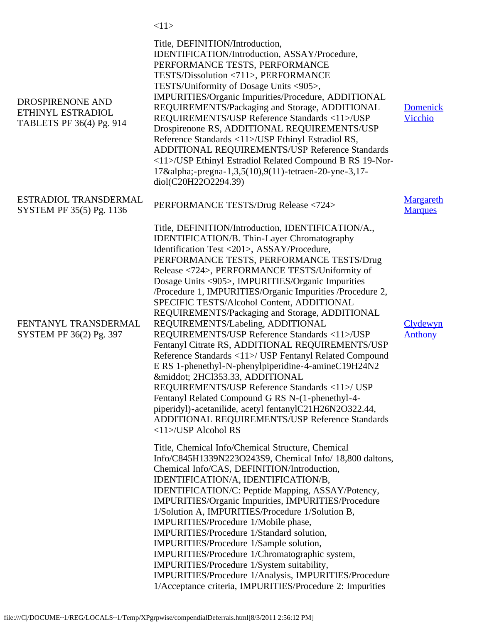|                                                                   | <11>                                                                                                                                                                                                                                                                                                                                                                                                                                                                                                                                                                                                                                                                                                                                                                                                                                                                                                                                                                                                        |                                    |
|-------------------------------------------------------------------|-------------------------------------------------------------------------------------------------------------------------------------------------------------------------------------------------------------------------------------------------------------------------------------------------------------------------------------------------------------------------------------------------------------------------------------------------------------------------------------------------------------------------------------------------------------------------------------------------------------------------------------------------------------------------------------------------------------------------------------------------------------------------------------------------------------------------------------------------------------------------------------------------------------------------------------------------------------------------------------------------------------|------------------------------------|
| DROSPIRENONE AND<br>ETHINYL ESTRADIOL<br>TABLETS PF 36(4) Pg. 914 | Title, DEFINITION/Introduction,<br>IDENTIFICATION/Introduction, ASSAY/Procedure,<br>PERFORMANCE TESTS, PERFORMANCE<br>TESTS/Dissolution <711>, PERFORMANCE<br>TESTS/Uniformity of Dosage Units <905>,<br>IMPURITIES/Organic Impurities/Procedure, ADDITIONAL<br>REQUIREMENTS/Packaging and Storage, ADDITIONAL<br>REQUIREMENTS/USP Reference Standards <11>/USP<br>Drospirenone RS, ADDITIONAL REQUIREMENTS/USP<br>Reference Standards <11>/USP Ethinyl Estradiol RS,<br>ADDITIONAL REQUIREMENTS/USP Reference Standards<br><11>/USP Ethinyl Estradiol Related Compound B RS 19-Nor-<br>17α-pregna-1,3,5(10),9(11)-tetraen-20-yne-3,17-<br>diol(C20H22O2294.39)                                                                                                                                                                                                                                                                                                                                             | <b>Domenick</b><br>Vicchio         |
| ESTRADIOL TRANSDERMAL<br>SYSTEM PF 35(5) Pg. 1136                 | PERFORMANCE TESTS/Drug Release <724>                                                                                                                                                                                                                                                                                                                                                                                                                                                                                                                                                                                                                                                                                                                                                                                                                                                                                                                                                                        | <b>Margareth</b><br><b>Marques</b> |
| FENTANYL TRANSDERMAL<br>SYSTEM PF 36(2) Pg. 397                   | Title, DEFINITION/Introduction, IDENTIFICATION/A.,<br><b>IDENTIFICATION/B.</b> Thin-Layer Chromatography<br>Identification Test <201>, ASSAY/Procedure,<br>PERFORMANCE TESTS, PERFORMANCE TESTS/Drug<br>Release <724>, PERFORMANCE TESTS/Uniformity of<br>Dosage Units <905>, IMPURITIES/Organic Impurities<br>/Procedure 1, IMPURITIES/Organic Impurities /Procedure 2,<br>SPECIFIC TESTS/Alcohol Content, ADDITIONAL<br>REQUIREMENTS/Packaging and Storage, ADDITIONAL<br>REQUIREMENTS/Labeling, ADDITIONAL<br>REQUIREMENTS/USP Reference Standards <11>/USP<br>Fentanyl Citrate RS, ADDITIONAL REQUIREMENTS/USP<br>Reference Standards <11>/ USP Fentanyl Related Compound<br>E RS 1-phenethyl-N-phenylpiperidine-4-amineC19H24N2<br>· 2HCl353.33, ADDITIONAL<br>REQUIREMENTS/USP Reference Standards <11>/ USP<br>Fentanyl Related Compound G RS N-(1-phenethyl-4-<br>piperidyl)-acetanilide, acetyl fentanylC21H26N2O322.44,<br>ADDITIONAL REQUIREMENTS/USP Reference Standards<br><11>/USP Alcohol RS | Clydewyn<br><b>Anthony</b>         |
|                                                                   | Title, Chemical Info/Chemical Structure, Chemical<br>Info/C845H1339N223O243S9, Chemical Info/ 18,800 daltons,<br>Chemical Info/CAS, DEFINITION/Introduction,<br>IDENTIFICATION/A, IDENTIFICATION/B,<br>IDENTIFICATION/C: Peptide Mapping, ASSAY/Potency,<br>IMPURITIES/Organic Impurities, IMPURITIES/Procedure<br>1/Solution A, IMPURITIES/Procedure 1/Solution B,<br>IMPURITIES/Procedure 1/Mobile phase,<br>IMPURITIES/Procedure 1/Standard solution,<br>IMPURITIES/Procedure 1/Sample solution,<br>IMPURITIES/Procedure 1/Chromatographic system,<br>IMPURITIES/Procedure 1/System suitability,<br>IMPURITIES/Procedure 1/Analysis, IMPURITIES/Procedure<br>1/Acceptance criteria, IMPURITIES/Procedure 2: Impurities                                                                                                                                                                                                                                                                                   |                                    |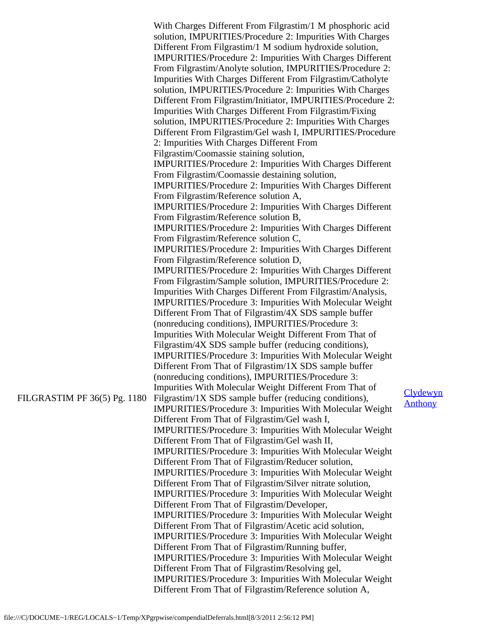|                              | With Charges Different From Filgrastim/1 M phosphoric acid<br>solution, IMPURITIES/Procedure 2: Impurities With Charges<br>Different From Filgrastim/1 M sodium hydroxide solution,<br>IMPURITIES/Procedure 2: Impurities With Charges Different<br>From Filgrastim/Anolyte solution, IMPURITIES/Procedure 2:<br>Impurities With Charges Different From Filgrastim/Catholyte<br>solution, IMPURITIES/Procedure 2: Impurities With Charges<br>Different From Filgrastim/Initiator, IMPURITIES/Procedure 2:<br>Impurities With Charges Different From Filgrastim/Fixing<br>solution, IMPURITIES/Procedure 2: Impurities With Charges<br>Different From Filgrastim/Gel wash I, IMPURITIES/Procedure<br>2: Impurities With Charges Different From<br>Filgrastim/Coomassie staining solution,<br>IMPURITIES/Procedure 2: Impurities With Charges Different<br>From Filgrastim/Coomassie destaining solution,<br><b>IMPURITIES/Procedure 2: Impurities With Charges Different</b><br>From Filgrastim/Reference solution A,<br><b>IMPURITIES/Procedure 2: Impurities With Charges Different</b><br>From Filgrastim/Reference solution B,<br><b>IMPURITIES/Procedure 2: Impurities With Charges Different</b><br>From Filgrastim/Reference solution C,<br><b>IMPURITIES/Procedure 2: Impurities With Charges Different</b><br>From Filgrastim/Reference solution D,<br><b>IMPURITIES/Procedure 2: Impurities With Charges Different</b><br>From Filgrastim/Sample solution, IMPURITIES/Procedure 2:<br>Impurities With Charges Different From Filgrastim/Analysis,<br>IMPURITIES/Procedure 3: Impurities With Molecular Weight<br>Different From That of Filgrastim/4X SDS sample buffer<br>(nonreducing conditions), IMPURITIES/Procedure 3:<br>Impurities With Molecular Weight Different From That of<br>Filgrastim/4X SDS sample buffer (reducing conditions),<br><b>IMPURITIES/Procedure 3: Impurities With Molecular Weight</b><br>Different From That of Filgrastim/1X SDS sample buffer<br>(nonreducing conditions), IMPURITIES/Procedure 3: |                            |
|------------------------------|----------------------------------------------------------------------------------------------------------------------------------------------------------------------------------------------------------------------------------------------------------------------------------------------------------------------------------------------------------------------------------------------------------------------------------------------------------------------------------------------------------------------------------------------------------------------------------------------------------------------------------------------------------------------------------------------------------------------------------------------------------------------------------------------------------------------------------------------------------------------------------------------------------------------------------------------------------------------------------------------------------------------------------------------------------------------------------------------------------------------------------------------------------------------------------------------------------------------------------------------------------------------------------------------------------------------------------------------------------------------------------------------------------------------------------------------------------------------------------------------------------------------------------------------------------------------------------------------------------------------------------------------------------------------------------------------------------------------------------------------------------------------------------------------------------------------------------------------------------------------------------------------------------------------------------------------------------------------------------------------------------------------------------------------|----------------------------|
| FILGRASTIM PF 36(5) Pg. 1180 | Impurities With Molecular Weight Different From That of<br>Filgrastim/1X SDS sample buffer (reducing conditions),<br><b>IMPURITIES/Procedure 3: Impurities With Molecular Weight</b><br>Different From That of Filgrastim/Gel wash I,<br><b>IMPURITIES/Procedure 3: Impurities With Molecular Weight</b><br>Different From That of Filgrastim/Gel wash II,<br>IMPURITIES/Procedure 3: Impurities With Molecular Weight<br>Different From That of Filgrastim/Reducer solution,<br><b>IMPURITIES/Procedure 3: Impurities With Molecular Weight</b><br>Different From That of Filgrastim/Silver nitrate solution,<br><b>IMPURITIES/Procedure 3: Impurities With Molecular Weight</b><br>Different From That of Filgrastim/Developer,<br>IMPURITIES/Procedure 3: Impurities With Molecular Weight                                                                                                                                                                                                                                                                                                                                                                                                                                                                                                                                                                                                                                                                                                                                                                                                                                                                                                                                                                                                                                                                                                                                                                                                                                                | Clydewyn<br><b>Anthony</b> |
|                              | Different From That of Filgrastim/Acetic acid solution,<br>IMPURITIES/Procedure 3: Impurities With Molecular Weight<br>Different From That of Filgrastim/Running buffer,<br><b>IMPURITIES/Procedure 3: Impurities With Molecular Weight</b><br>Different From That of Filgrastim/Resolving gel,<br><b>IMPURITIES/Procedure 3: Impurities With Molecular Weight</b><br>Different From That of Filgrastim/Reference solution A,                                                                                                                                                                                                                                                                                                                                                                                                                                                                                                                                                                                                                                                                                                                                                                                                                                                                                                                                                                                                                                                                                                                                                                                                                                                                                                                                                                                                                                                                                                                                                                                                                |                            |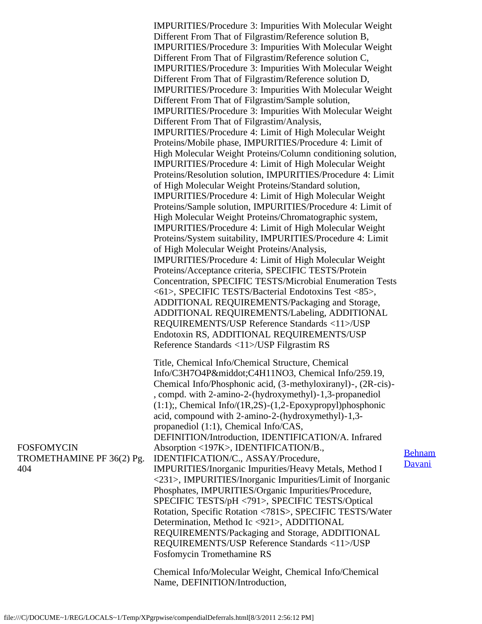IMPURITIES/Procedure 3: Impurities With Molecular Weight Different From That of Filgrastim/Reference solution B, IMPURITIES/Procedure 3: Impurities With Molecular Weight Different From That of Filgrastim/Reference solution C, IMPURITIES/Procedure 3: Impurities With Molecular Weight Different From That of Filgrastim/Reference solution D, IMPURITIES/Procedure 3: Impurities With Molecular Weight Different From That of Filgrastim/Sample solution, IMPURITIES/Procedure 3: Impurities With Molecular Weight Different From That of Filgrastim/Analysis, IMPURITIES/Procedure 4: Limit of High Molecular Weight Proteins/Mobile phase, IMPURITIES/Procedure 4: Limit of High Molecular Weight Proteins/Column conditioning solution, IMPURITIES/Procedure 4: Limit of High Molecular Weight Proteins/Resolution solution, IMPURITIES/Procedure 4: Limit of High Molecular Weight Proteins/Standard solution, IMPURITIES/Procedure 4: Limit of High Molecular Weight Proteins/Sample solution, IMPURITIES/Procedure 4: Limit of High Molecular Weight Proteins/Chromatographic system, IMPURITIES/Procedure 4: Limit of High Molecular Weight Proteins/System suitability, IMPURITIES/Procedure 4: Limit of High Molecular Weight Proteins/Analysis, IMPURITIES/Procedure 4: Limit of High Molecular Weight Proteins/Acceptance criteria, SPECIFIC TESTS/Protein Concentration, SPECIFIC TESTS/Microbial Enumeration Tests <61>, SPECIFIC TESTS/Bacterial Endotoxins Test <85>, ADDITIONAL REQUIREMENTS/Packaging and Storage, ADDITIONAL REQUIREMENTS/Labeling, ADDITIONAL REQUIREMENTS/USP Reference Standards <11>/USP Endotoxin RS, ADDITIONAL REQUIREMENTS/USP Reference Standards <11>/USP Filgrastim RS Title, Chemical Info/Chemical Structure, Chemical Info/C3H7O4P·C4H11NO3, Chemical Info/259.19, Chemical Info/Phosphonic acid, (3-methyloxiranyl)-, (2R-cis)- , compd. with 2-amino-2-(hydroxymethyl)-1,3-propanediol (1:1);, Chemical Info/(1R,2S)-(1,2-Epoxypropyl)phosphonic acid, compound with 2-amino-2-(hydroxymethyl)-1,3 propanediol (1:1), Chemical Info/CAS, DEFINITION/Introduction, IDENTIFICATION/A. Infrared Absorption <197K>, IDENTIFICATION/B., IDENTIFICATION/C., ASSAY/Procedure, IMPURITIES/Inorganic Impurities/Heavy Metals, Method I <231>, IMPURITIES/Inorganic Impurities/Limit of Inorganic Phosphates, IMPURITIES/Organic Impurities/Procedure, SPECIFIC TESTS/pH <791>, SPECIFIC TESTS/Optical Rotation, Specific Rotation <781S>, SPECIFIC TESTS/Water Determination, Method Ic <921>, ADDITIONAL REQUIREMENTS/Packaging and Storage, ADDITIONAL REQUIREMENTS/USP Reference Standards <11>/USP Fosfomycin Tromethamine RS

Chemical Info/Molecular Weight, Chemical Info/Chemical Name, DEFINITION/Introduction,

[Behnam](mailto:BD@usp.org) **[Davani](mailto:BD@usp.org)** 

FOSFOMYCIN TROMETHAMINE PF 36(2) Pg. 404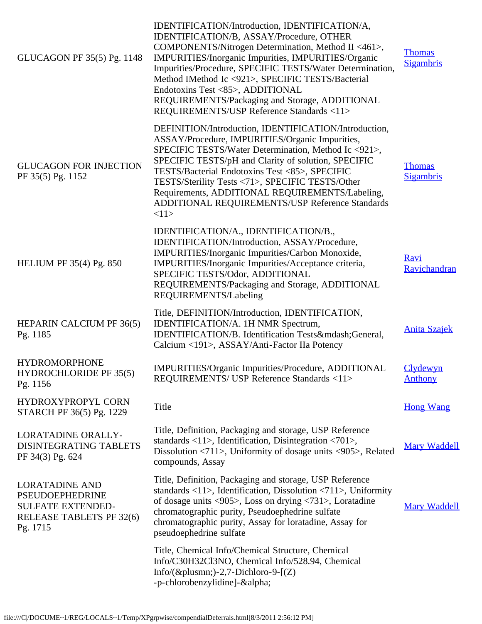| GLUCAGON PF 35(5) Pg. 1148                                                                                          | IDENTIFICATION/Introduction, IDENTIFICATION/A,<br>IDENTIFICATION/B, ASSAY/Procedure, OTHER<br>COMPONENTS/Nitrogen Determination, Method II <461>,<br>IMPURITIES/Inorganic Impurities, IMPURITIES/Organic<br>Impurities/Procedure, SPECIFIC TESTS/Water Determination,<br>Method IMethod Ic <921>, SPECIFIC TESTS/Bacterial<br>Endotoxins Test <85>, ADDITIONAL<br>REQUIREMENTS/Packaging and Storage, ADDITIONAL<br>REQUIREMENTS/USP Reference Standards <11> | <b>Thomas</b><br><b>Sigambris</b> |
|---------------------------------------------------------------------------------------------------------------------|---------------------------------------------------------------------------------------------------------------------------------------------------------------------------------------------------------------------------------------------------------------------------------------------------------------------------------------------------------------------------------------------------------------------------------------------------------------|-----------------------------------|
| <b>GLUCAGON FOR INJECTION</b><br>PF 35(5) Pg. 1152                                                                  | DEFINITION/Introduction, IDENTIFICATION/Introduction,<br>ASSAY/Procedure, IMPURITIES/Organic Impurities,<br>SPECIFIC TESTS/Water Determination, Method Ic <921>,<br>SPECIFIC TESTS/pH and Clarity of solution, SPECIFIC<br>TESTS/Bacterial Endotoxins Test <85>, SPECIFIC<br>TESTS/Sterility Tests <71>, SPECIFIC TESTS/Other<br>Requirements, ADDITIONAL REQUIREMENTS/Labeling,<br>ADDITIONAL REQUIREMENTS/USP Reference Standards<br><11>                   | <b>Thomas</b><br><b>Sigambris</b> |
| <b>HELIUM PF 35(4) Pg. 850</b>                                                                                      | IDENTIFICATION/A., IDENTIFICATION/B.,<br>IDENTIFICATION/Introduction, ASSAY/Procedure,<br>IMPURITIES/Inorganic Impurities/Carbon Monoxide,<br>IMPURITIES/Inorganic Impurities/Acceptance criteria,<br>SPECIFIC TESTS/Odor, ADDITIONAL<br>REQUIREMENTS/Packaging and Storage, ADDITIONAL<br>REQUIREMENTS/Labeling                                                                                                                                              | Ravi<br>Ravichandran              |
| HEPARIN CALCIUM PF 36(5)<br>Pg. 1185                                                                                | Title, DEFINITION/Introduction, IDENTIFICATION,<br>IDENTIFICATION/A. 1H NMR Spectrum,<br>IDENTIFICATION/B. Identification Tests—General,<br>Calcium <191>, ASSAY/Anti-Factor IIa Potency                                                                                                                                                                                                                                                                      | <b>Anita Szajek</b>               |
| <b>HYDROMORPHONE</b><br>HYDROCHLORIDE PF 35(5)<br>Pg. 1156                                                          | IMPURITIES/Organic Impurities/Procedure, ADDITIONAL<br>REQUIREMENTS/ USP Reference Standards <11>                                                                                                                                                                                                                                                                                                                                                             | Clydewyn<br><b>Anthony</b>        |
| HYDROXYPROPYL CORN<br>STARCH PF 36(5) Pg. 1229                                                                      | Title                                                                                                                                                                                                                                                                                                                                                                                                                                                         | <b>Hong Wang</b>                  |
| LORATADINE ORALLY-<br>DISINTEGRATING TABLETS<br>PF 34(3) Pg. 624                                                    | Title, Definition, Packaging and storage, USP Reference<br>standards $\langle 11 \rangle$ , Identification, Disintegration $\langle 701 \rangle$ ,<br>Dissolution $\langle 711 \rangle$ , Uniformity of dosage units $\langle 905 \rangle$ , Related<br>compounds, Assay                                                                                                                                                                                      | <b>Mary Waddell</b>               |
| <b>LORATADINE AND</b><br><b>PSEUDOEPHEDRINE</b><br><b>SULFATE EXTENDED-</b><br>RELEASE TABLETS PF 32(6)<br>Pg. 1715 | Title, Definition, Packaging and storage, USP Reference<br>standards $\langle 11 \rangle$ , Identification, Dissolution $\langle 711 \rangle$ , Uniformity<br>of dosage units $\langle 905 \rangle$ , Loss on drying $\langle 731 \rangle$ , Loratadine<br>chromatographic purity, Pseudoephedrine sulfate<br>chromatographic purity, Assay for loratadine, Assay for<br>pseudoephedrine sulfate                                                              | <b>Mary Waddell</b>               |
|                                                                                                                     | Title, Chemical Info/Chemical Structure, Chemical<br>Info/C30H32Cl3NO, Chemical Info/528.94, Chemical<br>Info/(±)-2,7-Dichloro-9- $[(Z)$<br>-p-chlorobenzylidine]-α                                                                                                                                                                                                                                                                                           |                                   |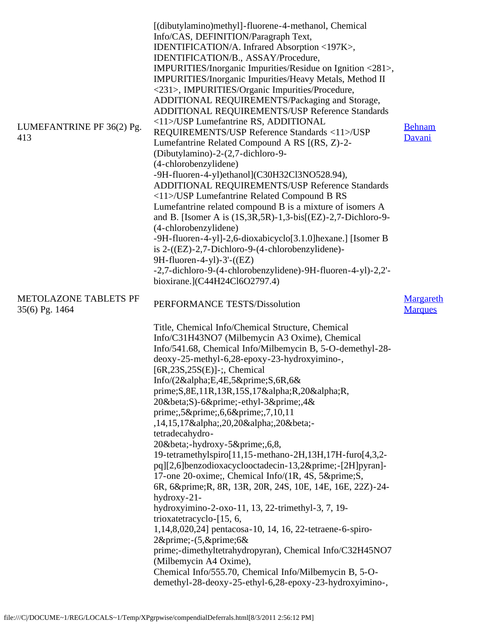| LUMEFANTRINE PF 36(2) Pg.<br>413               | [(dibutylamino)methyl]-fluorene-4-methanol, Chemical<br>Info/CAS, DEFINITION/Paragraph Text,<br>IDENTIFICATION/A. Infrared Absorption <197K>,<br>IDENTIFICATION/B., ASSAY/Procedure,<br>IMPURITIES/Inorganic Impurities/Residue on Ignition <281>,<br>IMPURITIES/Inorganic Impurities/Heavy Metals, Method II<br><231>, IMPURITIES/Organic Impurities/Procedure,<br>ADDITIONAL REQUIREMENTS/Packaging and Storage,<br>ADDITIONAL REQUIREMENTS/USP Reference Standards<br><11>/USP Lumefantrine RS, ADDITIONAL<br>REQUIREMENTS/USP Reference Standards <11>/USP<br>Lumefantrine Related Compound A RS [(RS, Z)-2-<br>(Dibutylamino)-2-(2,7-dichloro-9-<br>(4-chlorobenzylidene)<br>-9H-fluoren-4-yl)ethanol](C30H32Cl3NO528.94),<br>ADDITIONAL REQUIREMENTS/USP Reference Standards<br><11>/USP Lumefantrine Related Compound B RS<br>Lumefantrine related compound B is a mixture of isomers A<br>and B. [Isomer A is $(1S, 3R, 5R)$ -1,3-bis[ $(EZ)$ -2,7-Dichloro-9-<br>(4-chlorobenzylidene)<br>-9H-fluoren-4-yl]-2,6-dioxabicyclo[3.1.0] hexane.] [Isomer B<br>is $2-(EZ)-2,7-Dichloro-9-(4-chlorobenzylidene)$ -<br>9H-fluoren-4-yl)-3'-((EZ)<br>-2,7-dichloro-9-(4-chlorobenzylidene)-9H-fluoren-4-yl)-2,2'-<br>bioxirane.](C44H24Cl6O2797.4) | <b>Behnam</b><br>Davani     |
|------------------------------------------------|-----------------------------------------------------------------------------------------------------------------------------------------------------------------------------------------------------------------------------------------------------------------------------------------------------------------------------------------------------------------------------------------------------------------------------------------------------------------------------------------------------------------------------------------------------------------------------------------------------------------------------------------------------------------------------------------------------------------------------------------------------------------------------------------------------------------------------------------------------------------------------------------------------------------------------------------------------------------------------------------------------------------------------------------------------------------------------------------------------------------------------------------------------------------------------------------------------------------------------------------------------|-----------------------------|
| <b>METOLAZONE TABLETS PF</b><br>35(6) Pg. 1464 | PERFORMANCE TESTS/Dissolution                                                                                                                                                                                                                                                                                                                                                                                                                                                                                                                                                                                                                                                                                                                                                                                                                                                                                                                                                                                                                                                                                                                                                                                                                       | Margareth<br><b>Marques</b> |
|                                                | Title, Chemical Info/Chemical Structure, Chemical<br>Info/C31H43NO7 (Milbemycin A3 Oxime), Chemical<br>Info/541.68, Chemical Info/Milbemycin B, 5-O-demethyl-28-<br>deoxy-25-methyl-6,28-epoxy-23-hydroxyimino-,<br>[ $6R, 23S, 25S(E)$ ]-;, Chemical<br>Info/(2αE,4E,5′S,6R,6&<br>prime; S, 8E, 11R, 13R, 15S, 17& alpha; R, 20& alpha; R,<br>20βS)-6′-ethyl-3′,4&<br>prime;,5′,6,6′,7,10,11<br>,14,15,17α,20,20α,20β-<br>tetradecahydro-<br>20β-hydroxy-5′,6,8,<br>19-tetramethylspiro[11,15-methano-2H,13H,17H-furo[4,3,2-<br>pq][2,6]benzodioxacyclooctadecin-13,2′-[2H]pyran]-<br>17-one 20-oxime; Chemical Info/(1R, 4S, 5′ S,<br>6R, 6′ R, 8R, 13R, 20R, 24S, 10E, 14E, 16E, 22Z)-24-<br>$hydroxy-21$ -<br>hydroxyimino-2-oxo-11, 13, 22-trimethyl-3, 7, 19-<br>trioxatetracyclo-[15, 6,<br>1,14,8,020,24] pentacosa-10, 14, 16, 22-tetraene-6-spiro-<br>$2\&\text{prime}$ ;- $(5,\&\text{prime};6\&$<br>prime;-dimethyltetrahydropyran), Chemical Info/C32H45NO7<br>(Milbemycin A4 Oxime),<br>Chemical Info/555.70, Chemical Info/Milbemycin B, 5-O-<br>demethyl-28-deoxy-25-ethyl-6,28-epoxy-23-hydroxyimino-,                                                                                                                             |                             |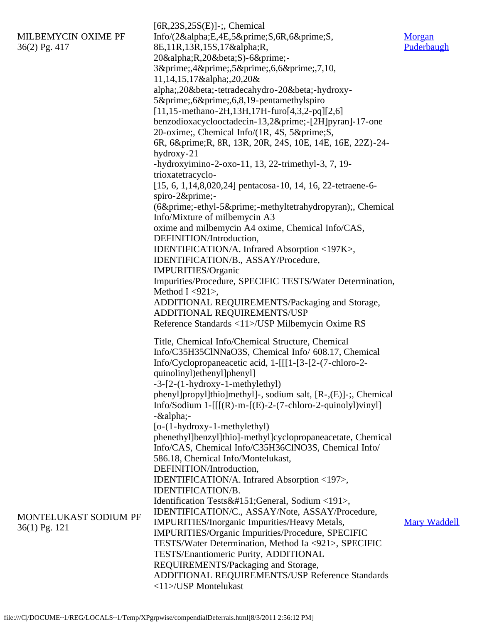|                       | $[6R, 23S, 25S(E)]$ -;, Chemical                                  |                     |
|-----------------------|-------------------------------------------------------------------|---------------------|
| MILBEMYCIN OXIME PF   | Info/(2αE,4E,5′S,6R,6′S,                                          | Morgan              |
| 36(2) Pg. 417         | 8E,11R,13R,15S,17αR,                                              | Puderbaugh          |
|                       | 20αR,20βS)-6′-                                                    |                     |
|                       | 3′,4′,5′,6,6′,7,10,                                               |                     |
|                       | 11,14,15,17α,20,20&                                               |                     |
|                       | alpha;,20β-tetradecahydro-20β-hydroxy-                            |                     |
|                       | 5′,6′,6,8,19-pentamethylspiro                                     |                     |
|                       | $[11, 15$ -methano-2H, 13H, 17H-furo $[4, 3, 2$ -pq] $[2, 6]$     |                     |
|                       | benzodioxacyclooctadecin-13,2′-[2H]pyran]-17-one                  |                     |
|                       | 20-oxime; Chemical Info/(1R, 4S, 5′ S,                            |                     |
|                       | 6R, 6′ R, 8R, 13R, 20R, 24S, 10E, 14E, 16E, 22Z)-24-              |                     |
|                       | hydroxy-21                                                        |                     |
|                       | -hydroxyimino-2-oxo-11, 13, 22-trimethyl-3, 7, 19-                |                     |
|                       |                                                                   |                     |
|                       | trioxatetracyclo-                                                 |                     |
|                       | $[15, 6, 1, 14, 8, 020, 24]$ pentacosa-10, 14, 16, 22-tetraene-6- |                     |
|                       | spiro-2′-                                                         |                     |
|                       | (6′-ethyl-5′-methyltetrahydropyran);, Chemical                    |                     |
|                       | Info/Mixture of milbemycin A3                                     |                     |
|                       | oxime and milbemycin A4 oxime, Chemical Info/CAS,                 |                     |
|                       | DEFINITION/Introduction,                                          |                     |
|                       | IDENTIFICATION/A. Infrared Absorption <197K>,                     |                     |
|                       | IDENTIFICATION/B., ASSAY/Procedure,                               |                     |
|                       | IMPURITIES/Organic                                                |                     |
|                       | Impurities/Procedure, SPECIFIC TESTS/Water Determination,         |                     |
|                       | Method I $<$ 921>,                                                |                     |
|                       | ADDITIONAL REQUIREMENTS/Packaging and Storage,                    |                     |
|                       | ADDITIONAL REQUIREMENTS/USP                                       |                     |
|                       | Reference Standards <11>/USP Milbemycin Oxime RS                  |                     |
|                       |                                                                   |                     |
|                       | Title, Chemical Info/Chemical Structure, Chemical                 |                     |
|                       | Info/C35H35ClNNaO3S, Chemical Info/ 608.17, Chemical              |                     |
|                       | Info/Cyclopropaneacetic acid, 1-[[[1-[3-[2-(7-chloro-2-           |                     |
|                       | quinolinyl) ethenyl] phenyl]                                      |                     |
|                       | $-3-[2-(1-hydroxy-1-methylethyl)]$                                |                     |
|                       | phenyl]propyl]thio]methyl]-, sodium salt, [R-,(E)]-;, Chemical    |                     |
|                       | Info/Sodium 1- $[[[(R)-m-[(E)-2-(7-chloro-2-quinoly])viny]]$      |                     |
|                       | $-\&$ alpha;-                                                     |                     |
|                       | [o-(1-hydroxy-1-methylethyl)                                      |                     |
|                       | phenethyl]benzyl]thio]-methyl]cyclopropaneacetate, Chemical       |                     |
|                       | Info/CAS, Chemical Info/C35H36ClNO3S, Chemical Info/              |                     |
|                       | 586.18, Chemical Info/Montelukast,                                |                     |
|                       | DEFINITION/Introduction,                                          |                     |
|                       | IDENTIFICATION/A. Infrared Absorption <197>,                      |                     |
|                       | IDENTIFICATION/B.                                                 |                     |
|                       | Identification Tests—General, Sodium <191>,                       |                     |
| MONTELUKAST SODIUM PF | IDENTIFICATION/C., ASSAY/Note, ASSAY/Procedure,                   |                     |
|                       | <b>IMPURITIES/Inorganic Impurities/Heavy Metals,</b>              | <b>Mary Waddell</b> |
| $36(1)$ Pg. 121       | IMPURITIES/Organic Impurities/Procedure, SPECIFIC                 |                     |
|                       | TESTS/Water Determination, Method Ia <921>, SPECIFIC              |                     |
|                       | TESTS/Enantiomeric Purity, ADDITIONAL                             |                     |
|                       | REQUIREMENTS/Packaging and Storage,                               |                     |
|                       | ADDITIONAL REQUIREMENTS/USP Reference Standards                   |                     |
|                       | <11>/USP Montelukast                                              |                     |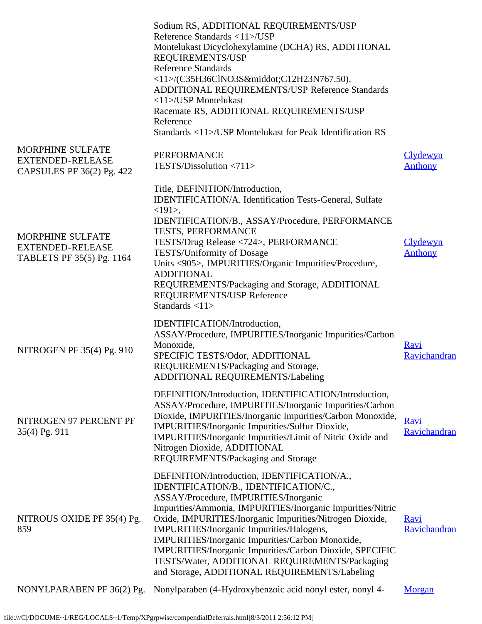|                                                                                 | Sodium RS, ADDITIONAL REQUIREMENTS/USP<br>Reference Standards <11>/USP<br>Montelukast Dicyclohexylamine (DCHA) RS, ADDITIONAL<br>REQUIREMENTS/USP<br><b>Reference Standards</b><br><11>/(C35H36ClNO3S·C12H23N767.50),<br>ADDITIONAL REQUIREMENTS/USP Reference Standards<br><11>/USP Montelukast<br>Racemate RS, ADDITIONAL REQUIREMENTS/USP<br>Reference<br>Standards <11>/USP Montelukast for Peak Identification RS                                                                                                  |                             |
|---------------------------------------------------------------------------------|-------------------------------------------------------------------------------------------------------------------------------------------------------------------------------------------------------------------------------------------------------------------------------------------------------------------------------------------------------------------------------------------------------------------------------------------------------------------------------------------------------------------------|-----------------------------|
| <b>MORPHINE SULFATE</b><br><b>EXTENDED-RELEASE</b><br>CAPSULES PF 36(2) Pg. 422 | <b>PERFORMANCE</b><br>TESTS/Dissolution <711>                                                                                                                                                                                                                                                                                                                                                                                                                                                                           | Clydewyn<br><b>Anthony</b>  |
| MORPHINE SULFATE<br><b>EXTENDED-RELEASE</b><br>TABLETS PF 35(5) Pg. 1164        | Title, DEFINITION/Introduction,<br><b>IDENTIFICATION/A.</b> Identification Tests-General, Sulfate<br>$<191$ .<br>IDENTIFICATION/B., ASSAY/Procedure, PERFORMANCE<br>TESTS, PERFORMANCE<br>TESTS/Drug Release <724>, PERFORMANCE<br>TESTS/Uniformity of Dosage<br>Units <905>, IMPURITIES/Organic Impurities/Procedure,<br><b>ADDITIONAL</b><br>REQUIREMENTS/Packaging and Storage, ADDITIONAL<br>REQUIREMENTS/USP Reference<br>Standards $<11>$                                                                         | Clydewyn<br><b>Anthony</b>  |
| NITROGEN PF 35(4) Pg. 910                                                       | IDENTIFICATION/Introduction,<br>ASSAY/Procedure, IMPURITIES/Inorganic Impurities/Carbon<br>Monoxide,<br>SPECIFIC TESTS/Odor, ADDITIONAL<br>REQUIREMENTS/Packaging and Storage,<br>ADDITIONAL REQUIREMENTS/Labeling                                                                                                                                                                                                                                                                                                      | <u>Ravi</u><br>Ravichandran |
| NITROGEN 97 PERCENT PF<br>35(4) Pg. 911                                         | DEFINITION/Introduction, IDENTIFICATION/Introduction,<br>ASSAY/Procedure, IMPURITIES/Inorganic Impurities/Carbon<br>Dioxide, IMPURITIES/Inorganic Impurities/Carbon Monoxide,<br>IMPURITIES/Inorganic Impurities/Sulfur Dioxide,<br>IMPURITIES/Inorganic Impurities/Limit of Nitric Oxide and<br>Nitrogen Dioxide, ADDITIONAL<br>REQUIREMENTS/Packaging and Storage                                                                                                                                                     | Ravi<br>Ravichandran        |
| NITROUS OXIDE PF 35(4) Pg.<br>859                                               | DEFINITION/Introduction, IDENTIFICATION/A.,<br>IDENTIFICATION/B., IDENTIFICATION/C.,<br>ASSAY/Procedure, IMPURITIES/Inorganic<br>Impurities/Ammonia, IMPURITIES/Inorganic Impurities/Nitric<br>Oxide, IMPURITIES/Inorganic Impurities/Nitrogen Dioxide,<br>IMPURITIES/Inorganic Impurities/Halogens,<br>IMPURITIES/Inorganic Impurities/Carbon Monoxide,<br>IMPURITIES/Inorganic Impurities/Carbon Dioxide, SPECIFIC<br>TESTS/Water, ADDITIONAL REQUIREMENTS/Packaging<br>and Storage, ADDITIONAL REQUIREMENTS/Labeling | <b>Ravi</b><br>Ravichandran |
| NONYLPARABEN PF 36(2) Pg.                                                       | Nonylparaben (4-Hydroxybenzoic acid nonyl ester, nonyl 4-                                                                                                                                                                                                                                                                                                                                                                                                                                                               | Morgan                      |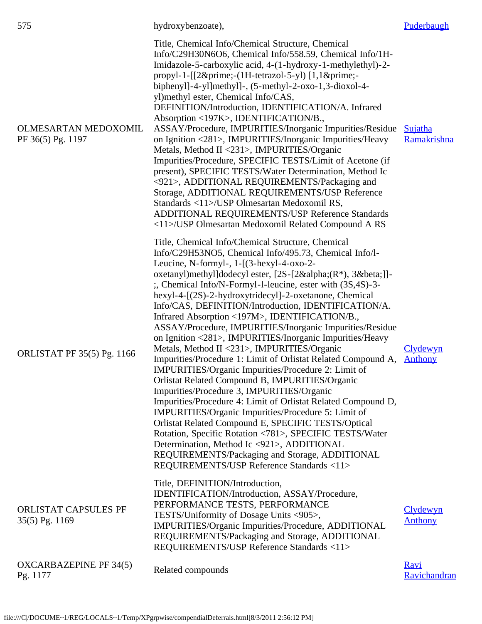| 575                                              | hydroxybenzoate),                                                                                                                                                                                                                                                                                                                                                                                                                                                                                                                                                                                                                                                                                                                                                                                                                                                                                                                                                                                                                                                                                                                                                                                                                                  | Puderbaugh                        |
|--------------------------------------------------|----------------------------------------------------------------------------------------------------------------------------------------------------------------------------------------------------------------------------------------------------------------------------------------------------------------------------------------------------------------------------------------------------------------------------------------------------------------------------------------------------------------------------------------------------------------------------------------------------------------------------------------------------------------------------------------------------------------------------------------------------------------------------------------------------------------------------------------------------------------------------------------------------------------------------------------------------------------------------------------------------------------------------------------------------------------------------------------------------------------------------------------------------------------------------------------------------------------------------------------------------|-----------------------------------|
| <b>OLMESARTAN MEDOXOMIL</b><br>PF 36(5) Pg. 1197 | Title, Chemical Info/Chemical Structure, Chemical<br>Info/C29H30N6O6, Chemical Info/558.59, Chemical Info/1H-<br>Imidazole-5-carboxylic acid, 4-(1-hydroxy-1-methylethyl)-2-<br>propyl-1-[[2′-(1H-tetrazol-5-yl) [1,1′-<br>biphenyl]-4-yl]methyl]-, $(5$ -methyl-2-oxo-1,3-dioxol-4-<br>yl) methyl ester, Chemical Info/CAS,<br>DEFINITION/Introduction, IDENTIFICATION/A. Infrared<br>Absorption <197K>, IDENTIFICATION/B.,<br>ASSAY/Procedure, IMPURITIES/Inorganic Impurities/Residue<br>on Ignition <281>, IMPURITIES/Inorganic Impurities/Heavy<br>Metals, Method II <231>, IMPURITIES/Organic<br>Impurities/Procedure, SPECIFIC TESTS/Limit of Acetone (if<br>present), SPECIFIC TESTS/Water Determination, Method Ic<br><921>, ADDITIONAL REQUIREMENTS/Packaging and<br>Storage, ADDITIONAL REQUIREMENTS/USP Reference<br>Standards <11>/USP Olmesartan Medoxomil RS,<br>ADDITIONAL REQUIREMENTS/USP Reference Standards<br><11>/USP Olmesartan Medoxomil Related Compound A RS                                                                                                                                                                                                                                                             | Sujatha<br>Ramakrishna            |
| ORLISTAT PF 35(5) Pg. 1166                       | Title, Chemical Info/Chemical Structure, Chemical<br>Info/C29H53NO5, Chemical Info/495.73, Chemical Info/l-<br>Leucine, N-formyl-, $1 - [(3 - hexy] - 4 - oxo - 2 -$<br>oxetanyl)methyl]dodecyl ester, [2S-[2α(R*), 3β]]-<br>:, Chemical Info/N-Formyl-l-leucine, ester with (3S,4S)-3-<br>hexyl-4-[(2S)-2-hydroxytridecyl]-2-oxetanone, Chemical<br>Info/CAS, DEFINITION/Introduction, IDENTIFICATION/A.<br>Infrared Absorption <197M>, IDENTIFICATION/B.,<br>ASSAY/Procedure, IMPURITIES/Inorganic Impurities/Residue<br>on Ignition <281>, IMPURITIES/Inorganic Impurities/Heavy<br>Metals, Method II <231>, IMPURITIES/Organic<br>Impurities/Procedure 1: Limit of Orlistat Related Compound A,<br>IMPURITIES/Organic Impurities/Procedure 2: Limit of<br>Orlistat Related Compound B, IMPURITIES/Organic<br>Impurities/Procedure 3, IMPURITIES/Organic<br>Impurities/Procedure 4: Limit of Orlistat Related Compound D,<br>IMPURITIES/Organic Impurities/Procedure 5: Limit of<br>Orlistat Related Compound E, SPECIFIC TESTS/Optical<br>Rotation, Specific Rotation <781>, SPECIFIC TESTS/Water<br>Determination, Method Ic <921>, ADDITIONAL<br>REQUIREMENTS/Packaging and Storage, ADDITIONAL<br>REQUIREMENTS/USP Reference Standards <11> | <b>Clydewyn</b><br>Anthony        |
| ORLISTAT CAPSULES PF<br>35(5) Pg. 1169           | Title, DEFINITION/Introduction,<br>IDENTIFICATION/Introduction, ASSAY/Procedure,<br>PERFORMANCE TESTS, PERFORMANCE<br>TESTS/Uniformity of Dosage Units <905>,<br>IMPURITIES/Organic Impurities/Procedure, ADDITIONAL<br>REQUIREMENTS/Packaging and Storage, ADDITIONAL<br>REQUIREMENTS/USP Reference Standards <11>                                                                                                                                                                                                                                                                                                                                                                                                                                                                                                                                                                                                                                                                                                                                                                                                                                                                                                                                | <u>Clydewyn</u><br><b>Anthony</b> |
| <b>OXCARBAZEPINE PF 34(5)</b><br>Pg. 1177        | Related compounds                                                                                                                                                                                                                                                                                                                                                                                                                                                                                                                                                                                                                                                                                                                                                                                                                                                                                                                                                                                                                                                                                                                                                                                                                                  | <b>Ravi</b><br>Ravichandran       |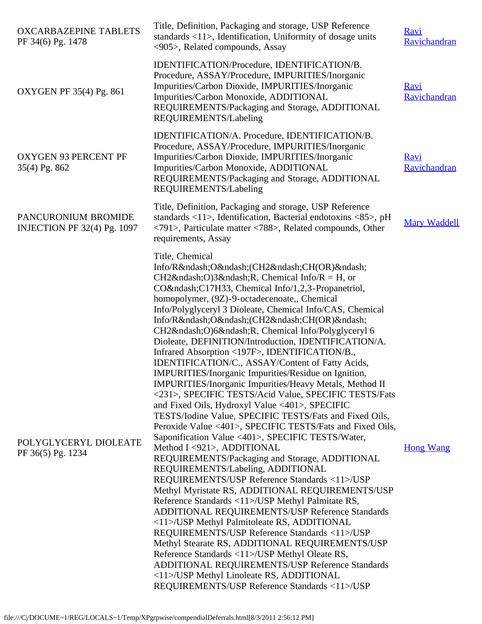| <b>OXCARBAZEPINE TABLETS</b><br>PF 34(6) Pg. 1478         | Title, Definition, Packaging and storage, USP Reference<br>standards $\langle 11 \rangle$ , Identification, Uniformity of dosage units<br><905>, Related compounds, Assay                                                                                                                                                                                                                                                                                                                                                                                                                                                                                                                                                                                                                                                                                                                                                                                                                                                                                                                                                                                                                                                                                                                                                                                                                                                                                                                                                                                                       | <b>Ravi</b><br>Ravichandran |
|-----------------------------------------------------------|---------------------------------------------------------------------------------------------------------------------------------------------------------------------------------------------------------------------------------------------------------------------------------------------------------------------------------------------------------------------------------------------------------------------------------------------------------------------------------------------------------------------------------------------------------------------------------------------------------------------------------------------------------------------------------------------------------------------------------------------------------------------------------------------------------------------------------------------------------------------------------------------------------------------------------------------------------------------------------------------------------------------------------------------------------------------------------------------------------------------------------------------------------------------------------------------------------------------------------------------------------------------------------------------------------------------------------------------------------------------------------------------------------------------------------------------------------------------------------------------------------------------------------------------------------------------------------|-----------------------------|
| OXYGEN PF 35(4) Pg. 861                                   | IDENTIFICATION/Procedure, IDENTIFICATION/B.<br>Procedure, ASSAY/Procedure, IMPURITIES/Inorganic<br>Impurities/Carbon Dioxide, IMPURITIES/Inorganic<br>Impurities/Carbon Monoxide, ADDITIONAL<br>REQUIREMENTS/Packaging and Storage, ADDITIONAL<br>REQUIREMENTS/Labeling                                                                                                                                                                                                                                                                                                                                                                                                                                                                                                                                                                                                                                                                                                                                                                                                                                                                                                                                                                                                                                                                                                                                                                                                                                                                                                         | <b>Ravi</b><br>Ravichandran |
| <b>OXYGEN 93 PERCENT PF</b><br>35(4) Pg. 862              | IDENTIFICATION/A. Procedure, IDENTIFICATION/B.<br>Procedure, ASSAY/Procedure, IMPURITIES/Inorganic<br>Impurities/Carbon Dioxide, IMPURITIES/Inorganic<br>Impurities/Carbon Monoxide, ADDITIONAL<br>REQUIREMENTS/Packaging and Storage, ADDITIONAL<br>REQUIREMENTS/Labeling                                                                                                                                                                                                                                                                                                                                                                                                                                                                                                                                                                                                                                                                                                                                                                                                                                                                                                                                                                                                                                                                                                                                                                                                                                                                                                      | <u>Ravi</u><br>Ravichandran |
| PANCURONIUM BROMIDE<br><b>INJECTION PF 32(4) Pg. 1097</b> | Title, Definition, Packaging and storage, USP Reference<br>standards $\langle 11 \rangle$ , Identification, Bacterial endotoxins $\langle 85 \rangle$ , pH<br>$\langle 791 \rangle$ , Particulate matter $\langle 788 \rangle$ , Related compounds, Other<br>requirements, Assay                                                                                                                                                                                                                                                                                                                                                                                                                                                                                                                                                                                                                                                                                                                                                                                                                                                                                                                                                                                                                                                                                                                                                                                                                                                                                                | <b>Mary Waddell</b>         |
| POLYGLYCERYL DIOLEATE<br>PF 36(5) Pg. 1234                | Title, Chemical<br>Info/R–O–(CH2–CH(OR)–<br>CH2–O)3–R, Chemical Info/R = H, or<br>CO–C17H33, Chemical Info/1,2,3-Propanetriol,<br>homopolymer, (9Z)-9-octadecenoate,, Chemical<br>Info/Polyglyceryl 3 Dioleate, Chemical Info/CAS, Chemical<br>Info/R–O–(CH2–CH(OR)–<br>CH2–O)6–R, Chemical Info/Polyglyceryl 6<br>Dioleate, DEFINITION/Introduction, IDENTIFICATION/A.<br>Infrared Absorption <197F>, IDENTIFICATION/B.,<br>IDENTIFICATION/C., ASSAY/Content of Fatty Acids,<br>IMPURITIES/Inorganic Impurities/Residue on Ignition,<br>IMPURITIES/Inorganic Impurities/Heavy Metals, Method II<br><231>, SPECIFIC TESTS/Acid Value, SPECIFIC TESTS/Fats<br>and Fixed Oils, Hydroxyl Value <401>, SPECIFIC<br>TESTS/Iodine Value, SPECIFIC TESTS/Fats and Fixed Oils,<br>Peroxide Value <401>, SPECIFIC TESTS/Fats and Fixed Oils,<br>Saponification Value <401>, SPECIFIC TESTS/Water,<br>Method I <921>, ADDITIONAL<br>REQUIREMENTS/Packaging and Storage, ADDITIONAL<br>REQUIREMENTS/Labeling, ADDITIONAL<br>REQUIREMENTS/USP Reference Standards <11>/USP<br>Methyl Myristate RS, ADDITIONAL REQUIREMENTS/USP<br>Reference Standards <11>/USP Methyl Palmitate RS,<br>ADDITIONAL REQUIREMENTS/USP Reference Standards<br><11>/USP Methyl Palmitoleate RS, ADDITIONAL<br>REQUIREMENTS/USP Reference Standards <11>/USP<br>Methyl Stearate RS, ADDITIONAL REQUIREMENTS/USP<br>Reference Standards <11>/USP Methyl Oleate RS,<br>ADDITIONAL REQUIREMENTS/USP Reference Standards<br><11>/USP Methyl Linoleate RS, ADDITIONAL<br>REQUIREMENTS/USP Reference Standards <11>/USP | <b>Hong Wang</b>            |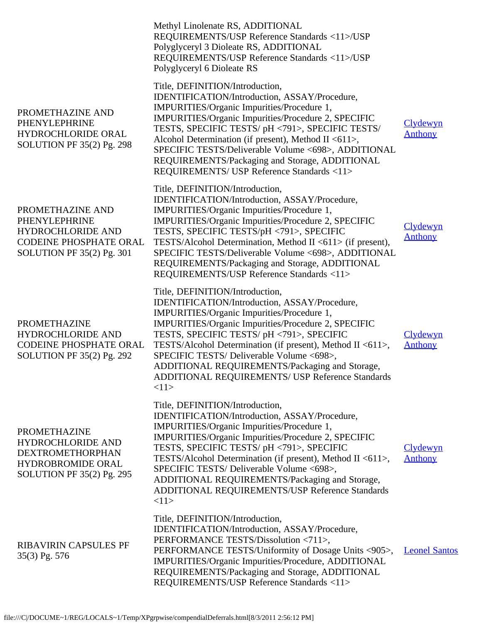|                                                                                                                              | Methyl Linolenate RS, ADDITIONAL<br>REQUIREMENTS/USP Reference Standards <11>/USP<br>Polyglyceryl 3 Dioleate RS, ADDITIONAL<br>REQUIREMENTS/USP Reference Standards <11>/USP<br>Polyglyceryl 6 Dioleate RS                                                                                                                                                                                                                                                  |                                   |
|------------------------------------------------------------------------------------------------------------------------------|-------------------------------------------------------------------------------------------------------------------------------------------------------------------------------------------------------------------------------------------------------------------------------------------------------------------------------------------------------------------------------------------------------------------------------------------------------------|-----------------------------------|
| PROMETHAZINE AND<br>PHENYLEPHRINE<br>HYDROCHLORIDE ORAL<br>SOLUTION PF 35(2) Pg. 298                                         | Title, DEFINITION/Introduction,<br>IDENTIFICATION/Introduction, ASSAY/Procedure,<br>IMPURITIES/Organic Impurities/Procedure 1,<br>IMPURITIES/Organic Impurities/Procedure 2, SPECIFIC<br>TESTS, SPECIFIC TESTS/ pH <791>, SPECIFIC TESTS/<br>Alcohol Determination (if present), Method II <611>,<br>SPECIFIC TESTS/Deliverable Volume <698>, ADDITIONAL<br>REQUIREMENTS/Packaging and Storage, ADDITIONAL<br>REQUIREMENTS/ USP Reference Standards <11>    | Clydewyn<br><b>Anthony</b>        |
| PROMETHAZINE AND<br>PHENYLEPHRINE<br><b>HYDROCHLORIDE AND</b><br><b>CODEINE PHOSPHATE ORAL</b><br>SOLUTION PF 35(2) Pg. 301  | Title, DEFINITION/Introduction,<br>IDENTIFICATION/Introduction, ASSAY/Procedure,<br>IMPURITIES/Organic Impurities/Procedure 1,<br>IMPURITIES/Organic Impurities/Procedure 2, SPECIFIC<br>TESTS, SPECIFIC TESTS/pH <791>, SPECIFIC<br>TESTS/Alcohol Determination, Method II <611> (if present),<br>SPECIFIC TESTS/Deliverable Volume <698>, ADDITIONAL<br>REQUIREMENTS/Packaging and Storage, ADDITIONAL<br>REQUIREMENTS/USP Reference Standards <11>       | <b>Clydewyn</b><br><b>Anthony</b> |
| <b>PROMETHAZINE</b><br><b>HYDROCHLORIDE AND</b><br><b>CODEINE PHOSPHATE ORAL</b><br>SOLUTION PF 35(2) Pg. 292                | Title, DEFINITION/Introduction,<br>IDENTIFICATION/Introduction, ASSAY/Procedure,<br>IMPURITIES/Organic Impurities/Procedure 1,<br>IMPURITIES/Organic Impurities/Procedure 2, SPECIFIC<br>TESTS, SPECIFIC TESTS/ pH <791>, SPECIFIC<br>TESTS/Alcohol Determination (if present), Method II <611>,<br>SPECIFIC TESTS/ Deliverable Volume <698>,<br>ADDITIONAL REQUIREMENTS/Packaging and Storage,<br>ADDITIONAL REQUIREMENTS/ USP Reference Standards<br><11> | <b>Clydewyn</b><br><b>Anthony</b> |
| <b>PROMETHAZINE</b><br>HYDROCHLORIDE AND<br><b>DEXTROMETHORPHAN</b><br><b>HYDROBROMIDE ORAL</b><br>SOLUTION PF 35(2) Pg. 295 | Title, DEFINITION/Introduction,<br>IDENTIFICATION/Introduction, ASSAY/Procedure,<br>IMPURITIES/Organic Impurities/Procedure 1,<br>IMPURITIES/Organic Impurities/Procedure 2, SPECIFIC<br>TESTS, SPECIFIC TESTS/ pH <791>, SPECIFIC<br>TESTS/Alcohol Determination (if present), Method II <611>,<br>SPECIFIC TESTS/ Deliverable Volume <698>,<br>ADDITIONAL REQUIREMENTS/Packaging and Storage,<br>ADDITIONAL REQUIREMENTS/USP Reference Standards<br><11>  | Clydewyn<br><b>Anthony</b>        |
| <b>RIBAVIRIN CAPSULES PF</b><br>35(3) Pg. 576                                                                                | Title, DEFINITION/Introduction,<br>IDENTIFICATION/Introduction, ASSAY/Procedure,<br>PERFORMANCE TESTS/Dissolution <711>,<br>PERFORMANCE TESTS/Uniformity of Dosage Units <905>,<br>IMPURITIES/Organic Impurities/Procedure, ADDITIONAL<br>REQUIREMENTS/Packaging and Storage, ADDITIONAL<br>REQUIREMENTS/USP Reference Standards <11>                                                                                                                       | <b>Leonel Santos</b>              |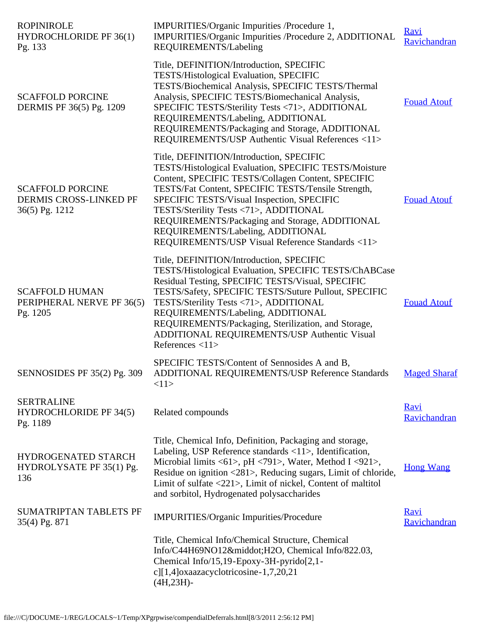| <b>ROPINIROLE</b><br><b>HYDROCHLORIDE PF 36(1)</b><br>Pg. 133       | IMPURITIES/Organic Impurities /Procedure 1,<br>IMPURITIES/Organic Impurities /Procedure 2, ADDITIONAL<br>REQUIREMENTS/Labeling                                                                                                                                                                                                                                                                                                                     | Ravi<br>Ravichandran        |
|---------------------------------------------------------------------|----------------------------------------------------------------------------------------------------------------------------------------------------------------------------------------------------------------------------------------------------------------------------------------------------------------------------------------------------------------------------------------------------------------------------------------------------|-----------------------------|
| <b>SCAFFOLD PORCINE</b><br>DERMIS PF 36(5) Pg. 1209                 | Title, DEFINITION/Introduction, SPECIFIC<br><b>TESTS/Histological Evaluation, SPECIFIC</b><br>TESTS/Biochemical Analysis, SPECIFIC TESTS/Thermal<br>Analysis, SPECIFIC TESTS/Biomechanical Analysis,<br>SPECIFIC TESTS/Sterility Tests <71>, ADDITIONAL<br>REQUIREMENTS/Labeling, ADDITIONAL<br>REQUIREMENTS/Packaging and Storage, ADDITIONAL<br>REQUIREMENTS/USP Authentic Visual References <11>                                                | <b>Fouad Atouf</b>          |
| <b>SCAFFOLD PORCINE</b><br>DERMIS CROSS-LINKED PF<br>36(5) Pg. 1212 | Title, DEFINITION/Introduction, SPECIFIC<br>TESTS/Histological Evaluation, SPECIFIC TESTS/Moisture<br>Content, SPECIFIC TESTS/Collagen Content, SPECIFIC<br>TESTS/Fat Content, SPECIFIC TESTS/Tensile Strength,<br>SPECIFIC TESTS/Visual Inspection, SPECIFIC<br>TESTS/Sterility Tests <71>, ADDITIONAL<br>REQUIREMENTS/Packaging and Storage, ADDITIONAL<br>REQUIREMENTS/Labeling, ADDITIONAL<br>REQUIREMENTS/USP Visual Reference Standards <11> | <b>Fouad Atouf</b>          |
| <b>SCAFFOLD HUMAN</b><br>PERIPHERAL NERVE PF 36(5)<br>Pg. 1205      | Title, DEFINITION/Introduction, SPECIFIC<br>TESTS/Histological Evaluation, SPECIFIC TESTS/ChABCase<br>Residual Testing, SPECIFIC TESTS/Visual, SPECIFIC<br>TESTS/Safety, SPECIFIC TESTS/Suture Pullout, SPECIFIC<br>TESTS/Sterility Tests <71>, ADDITIONAL<br>REQUIREMENTS/Labeling, ADDITIONAL<br>REQUIREMENTS/Packaging, Sterilization, and Storage,<br>ADDITIONAL REQUIREMENTS/USP Authentic Visual<br>References $<11>$                        | <b>Fouad Atouf</b>          |
| SENNOSIDES PF 35(2) Pg. 309                                         | SPECIFIC TESTS/Content of Sennosides A and B,<br>ADDITIONAL REQUIREMENTS/USP Reference Standards<br><11>                                                                                                                                                                                                                                                                                                                                           | <b>Maged Sharaf</b>         |
| <b>SERTRALINE</b><br><b>HYDROCHLORIDE PF 34(5)</b><br>Pg. 1189      | Related compounds                                                                                                                                                                                                                                                                                                                                                                                                                                  | <b>Ravi</b><br>Ravichandran |
| HYDROGENATED STARCH<br>HYDROLYSATE PF 35(1) Pg.<br>136              | Title, Chemical Info, Definition, Packaging and storage,<br>Labeling, USP Reference standards <11>, Identification,<br>Microbial limits <61>, pH <791>, Water, Method I <921>,<br>Residue on ignition <281>, Reducing sugars, Limit of chloride,<br>Limit of sulfate <221>, Limit of nickel, Content of maltitol<br>and sorbitol, Hydrogenated polysaccharides                                                                                     | <b>Hong Wang</b>            |
| <b>SUMATRIPTAN TABLETS PF</b><br>35(4) Pg. 871                      | IMPURITIES/Organic Impurities/Procedure                                                                                                                                                                                                                                                                                                                                                                                                            | <b>Ravi</b><br>Ravichandran |
|                                                                     | Title, Chemical Info/Chemical Structure, Chemical<br>Info/C44H69NO12·H2O, Chemical Info/822.03,<br>Chemical Info/15,19-Epoxy-3H-pyrido[2,1-<br>c][1,4]oxaazacyclotricosine-1,7,20,21<br>$(4H, 23H)$ -                                                                                                                                                                                                                                              |                             |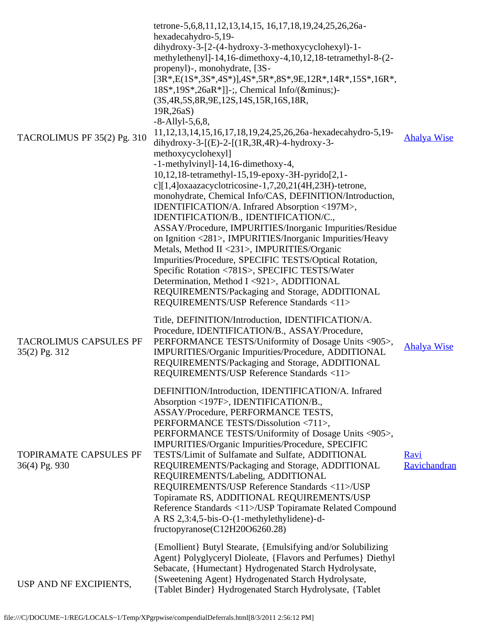| TACROLIMUS PF 35(2) Pg. 310                    | tetrone-5,6,8,11,12,13,14,15, 16,17,18,19,24,25,26,26a-<br>hexadecahydro-5,19-<br>dihydroxy-3- $[2-(4-hydroxy-3-methoxycyclohexy]-1-$<br>methylethenyl]-14,16-dimethoxy-4,10,12,18-tetramethyl-8-(2-<br>propenyl)-, monohydrate, [3S-<br>$[3R*, E(1S*, 3S*, 4S*)]$ , $4S*, 5R*, 8S*, 9E, 12R*, 14R*, 15S*, 16R*,$<br>$18S^*, 19S^*, 26aR^*$ ]]-;, Chemical Info/(−)-<br>(3S, 4R, 5S, 8R, 9E, 12S, 14S, 15R, 16S, 18R,<br>19R,26aS)<br>$-8 -$ Allyl $-5,6,8$ ,<br>11, 12, 13, 14, 15, 16, 17, 18, 19, 24, 25, 26, 26a - hexadecahydro-5, 19-<br>dihydroxy-3-[(E)-2-[(1R,3R,4R)-4-hydroxy-3-<br>methoxycyclohexyl]<br>-1-methylvinyl]-14,16-dimethoxy-4,<br>10,12,18-tetramethyl-15,19-epoxy-3H-pyrido[2,1-<br>c][1,4]oxaazacyclotricosine-1,7,20,21(4H,23H)-tetrone,<br>monohydrate, Chemical Info/CAS, DEFINITION/Introduction,<br>IDENTIFICATION/A. Infrared Absorption <197M>,<br>IDENTIFICATION/B., IDENTIFICATION/C.,<br>ASSAY/Procedure, IMPURITIES/Inorganic Impurities/Residue<br>on Ignition <281>, IMPURITIES/Inorganic Impurities/Heavy<br>Metals, Method II <231>, IMPURITIES/Organic<br>Impurities/Procedure, SPECIFIC TESTS/Optical Rotation,<br>Specific Rotation <781S>, SPECIFIC TESTS/Water<br>Determination, Method I <921>, ADDITIONAL<br>REQUIREMENTS/Packaging and Storage, ADDITIONAL<br>REQUIREMENTS/USP Reference Standards <11> | <b>Ahalya Wise</b>          |
|------------------------------------------------|----------------------------------------------------------------------------------------------------------------------------------------------------------------------------------------------------------------------------------------------------------------------------------------------------------------------------------------------------------------------------------------------------------------------------------------------------------------------------------------------------------------------------------------------------------------------------------------------------------------------------------------------------------------------------------------------------------------------------------------------------------------------------------------------------------------------------------------------------------------------------------------------------------------------------------------------------------------------------------------------------------------------------------------------------------------------------------------------------------------------------------------------------------------------------------------------------------------------------------------------------------------------------------------------------------------------------------------------------------|-----------------------------|
| <b>TACROLIMUS CAPSULES PF</b><br>35(2) Pg. 312 | Title, DEFINITION/Introduction, IDENTIFICATION/A.<br>Procedure, IDENTIFICATION/B., ASSAY/Procedure,<br>PERFORMANCE TESTS/Uniformity of Dosage Units <905>,<br>IMPURITIES/Organic Impurities/Procedure, ADDITIONAL<br>REQUIREMENTS/Packaging and Storage, ADDITIONAL<br>REQUIREMENTS/USP Reference Standards <11>                                                                                                                                                                                                                                                                                                                                                                                                                                                                                                                                                                                                                                                                                                                                                                                                                                                                                                                                                                                                                                         | <b>Ahalya Wise</b>          |
| TOPIRAMATE CAPSULES PF<br>36(4) Pg. 930        | DEFINITION/Introduction, IDENTIFICATION/A. Infrared<br>Absorption <197F>, IDENTIFICATION/B.,<br>ASSAY/Procedure, PERFORMANCE TESTS,<br>PERFORMANCE TESTS/Dissolution <711>,<br>PERFORMANCE TESTS/Uniformity of Dosage Units <905>,<br>IMPURITIES/Organic Impurities/Procedure, SPECIFIC<br>TESTS/Limit of Sulfamate and Sulfate, ADDITIONAL<br>REQUIREMENTS/Packaging and Storage, ADDITIONAL<br>REQUIREMENTS/Labeling, ADDITIONAL<br>REQUIREMENTS/USP Reference Standards <11>/USP<br>Topiramate RS, ADDITIONAL REQUIREMENTS/USP<br>Reference Standards <11>/USP Topiramate Related Compound<br>A RS 2,3:4,5-bis-O-(1-methylethylidene)-d-<br>fructopy ranose(C12H20O6260.28)                                                                                                                                                                                                                                                                                                                                                                                                                                                                                                                                                                                                                                                                           | <b>Ravi</b><br>Ravichandran |
| USP AND NF EXCIPIENTS,                         | {Emollient} Butyl Stearate, {Emulsifying and/or Solubilizing<br>Agent } Polyglyceryl Dioleate, {Flavors and Perfumes} Diethyl<br>Sebacate, {Humectant} Hydrogenated Starch Hydrolysate,<br>{Sweetening Agent} Hydrogenated Starch Hydrolysate,<br>{Tablet Binder} Hydrogenated Starch Hydrolysate, {Tablet                                                                                                                                                                                                                                                                                                                                                                                                                                                                                                                                                                                                                                                                                                                                                                                                                                                                                                                                                                                                                                               |                             |